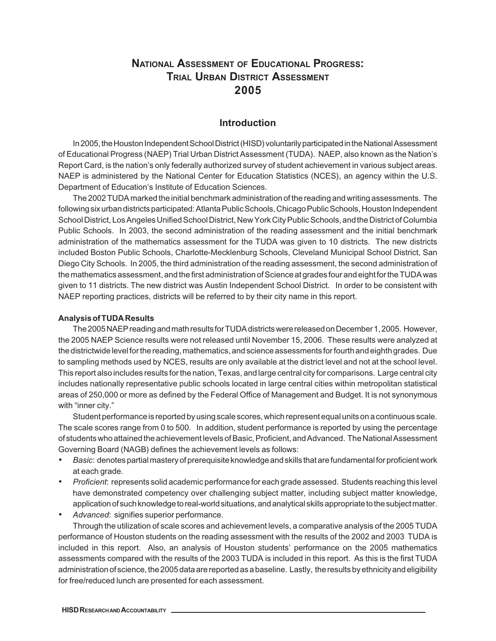## **NATIONAL ASSESSMENT OF EDUCATIONAL PROGRESS: TRIAL URBAN DISTRICT ASSESSMENT 2005**

## **Introduction**

In 2005, the Houston Independent School District (HISD) voluntarily participated in the National Assessment of Educational Progress (NAEP) Trial Urban District Assessment (TUDA). NAEP, also known as the Nation's Report Card, is the nation's only federally authorized survey of student achievement in various subject areas. NAEP is administered by the National Center for Education Statistics (NCES), an agency within the U.S. Department of Education's Institute of Education Sciences.

The 2002 TUDA marked the initial benchmark administration of the reading and writing assessments. The following six urban districts participated: Atlanta Public Schools, Chicago Public Schools, Houston Independent School District, Los Angeles Unified School District, New York City Public Schools, and the District of Columbia Public Schools. In 2003, the second administration of the reading assessment and the initial benchmark administration of the mathematics assessment for the TUDA was given to 10 districts. The new districts included Boston Public Schools, Charlotte-Mecklenburg Schools, Cleveland Municipal School District, San Diego City Schools. In 2005, the third administration of the reading assessment, the second administration of the mathematics assessment, and the first administration of Science at grades four and eight for the TUDA was given to 11 districts. The new district was Austin Independent School District. In order to be consistent with NAEP reporting practices, districts will be referred to by their city name in this report.

## **Analysis of TUDA Results**

The 2005 NAEP reading and math results for TUDA districts were released on December 1, 2005. However, the 2005 NAEP Science results were not released until November 15, 2006. These results were analyzed at the districtwide level for the reading, mathematics, and science assessments for fourth and eighth grades. Due to sampling methods used by NCES, results are only available at the district level and not at the school level. This report also includes results for the nation, Texas, and large central city for comparisons. Large central city includes nationally representative public schools located in large central cities within metropolitan statistical areas of 250,000 or more as defined by the Federal Office of Management and Budget. It is not synonymous with "inner city."

Student performance is reported by using scale scores, which represent equal units on a continuous scale. The scale scores range from 0 to 500. In addition, student performance is reported by using the percentage of students who attained the achievement levels of Basic, Proficient, and Advanced. The National Assessment Governing Board (NAGB) defines the achievement levels as follows:

- *• Basic*: denotes partial mastery of prerequisite knowledge and skills that are fundamental for proficient work at each grade.
- *• Proficient*: represents solid academic performance for each grade assessed. Students reaching this level have demonstrated competency over challenging subject matter, including subject matter knowledge, application of such knowledge to real-world situations, and analytical skills appropriate to the subject matter.
- *• Advanced*: signifies superior performance.

Through the utilization of scale scores and achievement levels, a comparative analysis of the 2005 TUDA performance of Houston students on the reading assessment with the results of the 2002 and 2003 TUDA is included in this report. Also, an analysis of Houston students' performance on the 2005 mathematics assessments compared with the results of the 2003 TUDA is included in this report. As this is the first TUDA administration of science, the 2005 data are reported as a baseline. Lastly, the results by ethnicity and eligibility for free/reduced lunch are presented for each assessment.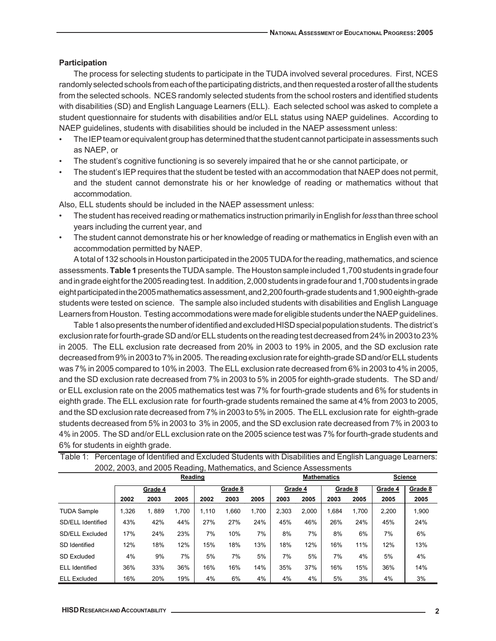## **Participation**

The process for selecting students to participate in the TUDA involved several procedures. First, NCES randomly selected schools from each of the participating districts, and then requested a roster of all the students from the selected schools. NCES randomly selected students from the school rosters and identified students with disabilities (SD) and English Language Learners (ELL). Each selected school was asked to complete a student questionnaire for students with disabilities and/or ELL status using NAEP guidelines. According to NAEP guidelines, students with disabilities should be included in the NAEP assessment unless:

- The IEP team or equivalent group has determined that the student cannot participate in assessments such as NAEP, or
- The student's cognitive functioning is so severely impaired that he or she cannot participate, or
- The student's IEP requires that the student be tested with an accommodation that NAEP does not permit, and the student cannot demonstrate his or her knowledge of reading or mathematics without that accommodation.

Also, ELL students should be included in the NAEP assessment unless:

- The student has received reading or mathematics instruction primarily in English for *less* than three school years including the current year, and
- The student cannot demonstrate his or her knowledge of reading or mathematics in English even with an accommodation permitted by NAEP.

A total of 132 schools in Houston participated in the 2005 TUDA for the reading, mathematics, and science assessments. **Table 1** presents the TUDA sample. The Houston sample included 1,700 students in grade four and in grade eight for the 2005 reading test. In addition, 2,000 students in grade four and 1,700 students in grade eight participated in the 2005 mathematics assessment, and 2,200 fourth-grade students and 1,900 eighth-grade students were tested on science. The sample also included students with disabilities and English Language Learners from Houston. Testing accommodations were made for eligible students under the NAEP guidelines.

Table 1 also presents the number of identified and excluded HISD special population students. The district's exclusion rate for fourth-grade SD and/or ELL students on the reading test decreased from 24% in 2003 to 23% in 2005. The ELL exclusion rate decreased from 20% in 2003 to 19% in 2005, and the SD exclusion rate decreased from 9% in 2003 to 7% in 2005. The reading exclusion rate for eighth-grade SD and/or ELL students was 7% in 2005 compared to 10% in 2003. The ELL exclusion rate decreased from 6% in 2003 to 4% in 2005, and the SD exclusion rate decreased from 7% in 2003 to 5% in 2005 for eighth-grade students. The SD and/ or ELL exclusion rate on the 2005 mathematics test was 7% for fourth-grade students and 6% for students in eighth grade. The ELL exclusion rate for fourth-grade students remained the same at 4% from 2003 to 2005, and the SD exclusion rate decreased from 7% in 2003 to 5% in 2005. The ELL exclusion rate for eighth-grade students decreased from 5% in 2003 to 3% in 2005, and the SD exclusion rate decreased from 7% in 2003 to 4% in 2005. The SD and/or ELL exclusion rate on the 2005 science test was 7% for fourth-grade students and 6% for students in eighth grade.

|                       | 2002, 2000, and 2000 redding, mathematics, and Ocionics / toocoomonto |         |         |       |         |       |                    |         |       |         |                |         |  |
|-----------------------|-----------------------------------------------------------------------|---------|---------|-------|---------|-------|--------------------|---------|-------|---------|----------------|---------|--|
|                       |                                                                       |         | Reading |       |         |       | <b>Mathematics</b> |         |       |         | <b>Science</b> |         |  |
|                       |                                                                       | Grade 4 |         |       | Grade 8 |       |                    | Grade 4 |       | Grade 8 | Grade 4        | Grade 8 |  |
|                       | 2002                                                                  | 2003    | 2005    | 2002  | 2003    | 2005  | 2003               | 2005    | 2003  | 2005    | 2005           | 2005    |  |
| <b>TUDA Sample</b>    | ,326                                                                  | 1.889   | 1.700   | 1.110 | 1.660   | 1.700 | 2.303              | 2.000   | 1.684 | 1,700   | 2,200          | 1,900   |  |
| SD/ELL Identified     | 43%                                                                   | 42%     | 44%     | 27%   | 27%     | 24%   | 45%                | 46%     | 26%   | 24%     | 45%            | 24%     |  |
| SD/ELL Excluded       | 17%                                                                   | 24%     | 23%     | 7%    | 10%     | 7%    | 8%                 | 7%      | 8%    | 6%      | 7%             | 6%      |  |
| SD Identified         | 12%                                                                   | 18%     | 12%     | 15%   | 18%     | 13%   | 18%                | 12%     | 16%   | 11%     | 12%            | 13%     |  |
| <b>SD Excluded</b>    | 4%                                                                    | 9%      | 7%      | 5%    | 7%      | 5%    | 7%                 | 5%      | 7%    | 4%      | 5%             | 4%      |  |
| <b>ELL</b> Identified | 36%                                                                   | 33%     | 36%     | 16%   | 16%     | 14%   | 35%                | 37%     | 16%   | 15%     | 36%            | 14%     |  |
| <b>ELL Excluded</b>   | 16%                                                                   | 20%     | 19%     | 4%    | 6%      | 4%    | 4%                 | 4%      | 5%    | 3%      | 4%             | 3%      |  |

Table 1: Percentage of Identified and Excluded Students with Disabilities and English Language Learners: 2002, 2003, and 2005 Reading, Mathematics, and Science Assessments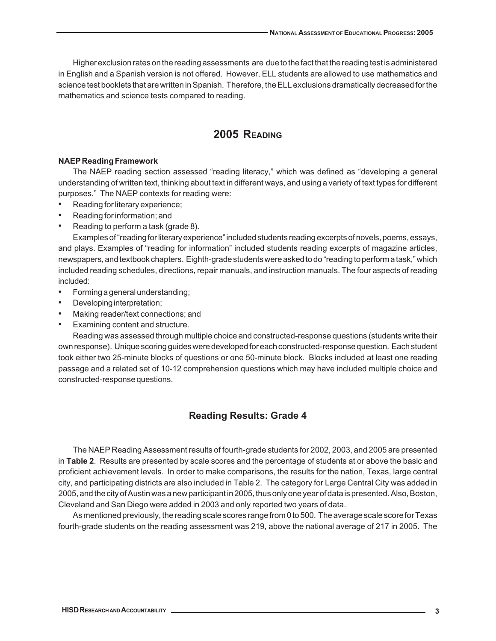Higher exclusion rates on the reading assessments are due to the fact that the reading test is administered in English and a Spanish version is not offered. However, ELL students are allowed to use mathematics and science test booklets that are written in Spanish. Therefore, the ELL exclusions dramatically decreased for the mathematics and science tests compared to reading.

## **2005 READING**

## **NAEP Reading Framework**

The NAEP reading section assessed "reading literacy," which was defined as "developing a general understanding of written text, thinking about text in different ways, and using a variety of text types for different purposes." The NAEP contexts for reading were:

- Reading for literary experience;
- Reading for information; and
- Reading to perform a task (grade 8).

Examples of "reading for literary experience" included students reading excerpts of novels, poems, essays, and plays. Examples of "reading for information" included students reading excerpts of magazine articles, newspapers, and textbook chapters. Eighth-grade students were asked to do "reading to perform a task," which included reading schedules, directions, repair manuals, and instruction manuals. The four aspects of reading included:

- Forming a general understanding;
- Developing interpretation;
- Making reader/text connections; and
- Examining content and structure.

Reading was assessed through multiple choice and constructed-response questions (students write their own response). Unique scoring guides were developed for each constructed-response question. Each student took either two 25-minute blocks of questions or one 50-minute block. Blocks included at least one reading passage and a related set of 10-12 comprehension questions which may have included multiple choice and constructed-response questions.

## **Reading Results: Grade 4**

The NAEP Reading Assessment results of fourth-grade students for 2002, 2003, and 2005 are presented in **Table 2**. Results are presented by scale scores and the percentage of students at or above the basic and proficient achievement levels. In order to make comparisons, the results for the nation, Texas, large central city, and participating districts are also included in Table 2. The category for Large Central City was added in 2005, and the city of Austin was a new participant in 2005, thus only one year of data is presented. Also, Boston, Cleveland and San Diego were added in 2003 and only reported two years of data.

As mentioned previously, the reading scale scores range from 0 to 500. The average scale score for Texas fourth-grade students on the reading assessment was 219, above the national average of 217 in 2005. The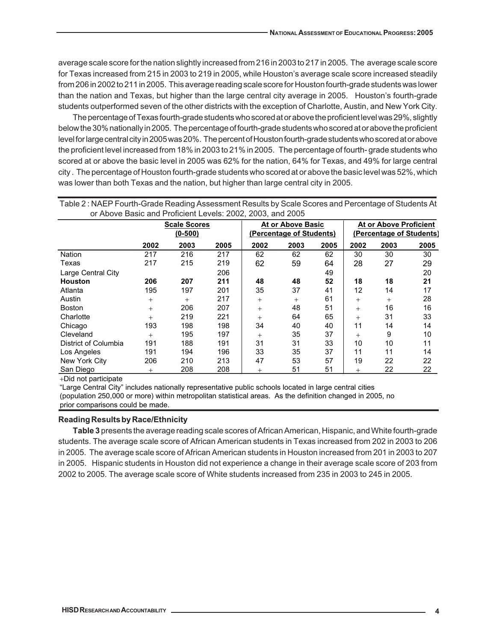average scale score for the nation slightly increased from 216 in 2003 to 217 in 2005. The average scale score for Texas increased from 215 in 2003 to 219 in 2005, while Houston's average scale score increased steadily from 206 in 2002 to 211 in 2005. This average reading scale score for Houston fourth-grade students was lower than the nation and Texas, but higher than the large central city average in 2005. Houston's fourth-grade students outperformed seven of the other districts with the exception of Charlotte, Austin, and New York City.

The percentage of Texas fourth-grade students who scored at or above the proficient level was 29%, slightly below the 30% nationally in 2005. The percentage of fourth-grade students who scored at or above the proficient level for large central city in 2005 was 20%. The percent of Houston fourth-grade students who scored at or above the proficient level increased from 18% in 2003 to 21% in 2005. The percentage of fourth- grade students who scored at or above the basic level in 2005 was 62% for the nation, 64% for Texas, and 49% for large central city . The percentage of Houston fourth-grade students who scored at or above the basic level was 52%, which was lower than both Texas and the nation, but higher than large central city in 2005.

| or Above Basic and Proficient Levels: 2002, 2003, and 2005 |        |                                  |      |        |                                               |      |                                                    |        |      |  |
|------------------------------------------------------------|--------|----------------------------------|------|--------|-----------------------------------------------|------|----------------------------------------------------|--------|------|--|
|                                                            |        | <b>Scale Scores</b><br>$(0-500)$ |      |        | At or Above Basic<br>(Percentage of Students) |      | At or Above Proficient<br>(Percentage of Students) |        |      |  |
|                                                            | 2002   | 2003                             | 2005 | 2002   | 2003                                          | 2005 | 2002                                               | 2003   | 2005 |  |
| Nation                                                     | 217    | 216                              | 217  | 62     | 62                                            | 62   | 30                                                 | 30     | 30   |  |
| Texas                                                      | 217    | 215                              | 219  | 62     | 59                                            | 64   | 28                                                 | 27     | 29   |  |
| Large Central City                                         |        |                                  | 206  |        |                                               | 49   |                                                    |        | 20   |  |
| <b>Houston</b>                                             | 206    | 207                              | 211  | 48     | 48                                            | 52   | 18                                                 | 18     | 21   |  |
| Atlanta                                                    | 195    | 197                              | 201  | 35     | 37                                            | 41   | 12                                                 | 14     | 17   |  |
| Austin                                                     | $^{+}$ | $^{+}$                           | 217  | $^{+}$ | $^{+}$                                        | 61   | $^{+}$                                             | $^{+}$ | 28   |  |
| Boston                                                     | $^{+}$ | 206                              | 207  | $^{+}$ | 48                                            | 51   | $^{+}$                                             | 16     | 16   |  |
| Charlotte                                                  | $^{+}$ | 219                              | 221  | $^{+}$ | 64                                            | 65   | $^{+}$                                             | 31     | 33   |  |
| Chicago                                                    | 193    | 198                              | 198  | 34     | 40                                            | 40   | 11                                                 | 14     | 14   |  |
| Cleveland                                                  | $^{+}$ | 195                              | 197  | $^{+}$ | 35                                            | 37   | $^{+}$                                             | 9      | 10   |  |
| District of Columbia                                       | 191    | 188                              | 191  | 31     | 31                                            | 33   | 10                                                 | 10     | 11   |  |
| Los Angeles                                                | 191    | 194                              | 196  | 33     | 35                                            | 37   | 11                                                 | 11     | 14   |  |
| New York City                                              | 206    | 210                              | 213  | 47     | 53                                            | 57   | 19                                                 | 22     | 22   |  |
| San Diego                                                  | $^{+}$ | 208                              | 208  | $^{+}$ | 51                                            | 51   | $^+$                                               | 22     | 22   |  |

Table 2 : NAEP Fourth-Grade Reading Assessment Results by Scale Scores and Percentage of Students At

+Did not participate

"Large Central City" includes nationally representative public schools located in large central cities (population 250,000 or more) within metropolitan statistical areas. As the definition changed in 2005, no prior comparisons could be made.

## **Reading Results by Race/Ethnicity**

**Table 3** presents the average reading scale scores of African American, Hispanic, and White fourth-grade students. The average scale score of African American students in Texas increased from 202 in 2003 to 206 in 2005. The average scale score of African American students in Houston increased from 201 in 2003 to 207 in 2005. Hispanic students in Houston did not experience a change in their average scale score of 203 from 2002 to 2005. The average scale score of White students increased from 235 in 2003 to 245 in 2005.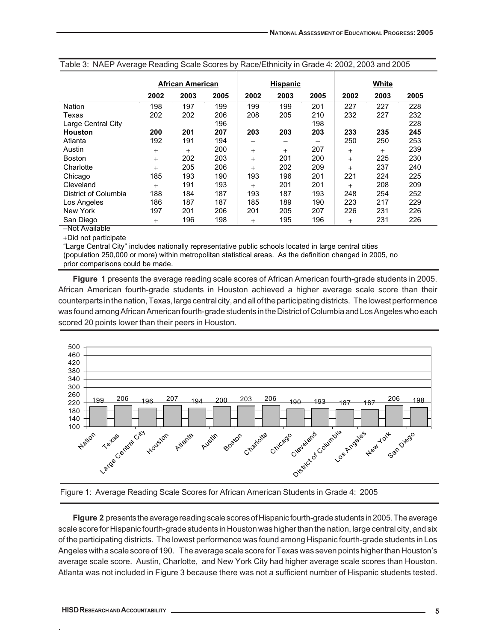|                      | <b>African American</b> |      |      |        | <b>Hispanic</b> |      | White  |        |      |
|----------------------|-------------------------|------|------|--------|-----------------|------|--------|--------|------|
|                      | 2002                    | 2003 | 2005 | 2002   | 2003            | 2005 | 2002   | 2003   | 2005 |
| <b>Nation</b>        | 198                     | 197  | 199  | 199    | 199             | 201  | 227    | 227    | 228  |
| Texas                | 202                     | 202  | 206  | 208    | 205             | 210  | 232    | 227    | 232  |
| Large Central City   |                         |      | 196  |        |                 | 198  |        |        | 228  |
| <b>Houston</b>       | 200                     | 201  | 207  | 203    | 203             | 203  | 233    | 235    | 245  |
| Atlanta              | 192                     | 191  | 194  | -      |                 |      | 250    | 250    | 253  |
| Austin               | $^{+}$                  | $+$  | 200  | $+$    | $^{+}$          | 207  | $^{+}$ | $^{+}$ | 239  |
| Boston               | $^{+}$                  | 202  | 203  | $+$    | 201             | 200  | $^{+}$ | 225    | 230  |
| Charlotte            | $^{+}$                  | 205  | 206  | $^{+}$ | 202             | 209  | $^{+}$ | 237    | 240  |
| Chicago              | 185                     | 193  | 190  | 193    | 196             | 201  | 221    | 224    | 225  |
| Cleveland            | $^{+}$                  | 191  | 193  | $+$    | 201             | 201  | $^{+}$ | 208    | 209  |
| District of Columbia | 188                     | 184  | 187  | 193    | 187             | 193  | 248    | 254    | 252  |
| Los Angeles          | 186                     | 187  | 187  | 185    | 189             | 190  | 223    | 217    | 229  |
| New York             | 197                     | 201  | 206  | 201    | 205             | 207  | 226    | 231    | 226  |
| San Diego            | $^{+}$                  | 196  | 198  | $^{+}$ | 195             | 196  | $^{+}$ | 231    | 226  |
| -Not Available       |                         |      |      |        |                 |      |        |        |      |

|  | Table 3: NAEP Average Reading Scale Scores by Race/Ethnicity in Grade 4: 2002, 2003 and 2005 |
|--|----------------------------------------------------------------------------------------------|
|  |                                                                                              |

+Did not participate

"Large Central City" includes nationally representative public schools located in large central cities (population 250,000 or more) within metropolitan statistical areas. As the definition changed in 2005, no prior comparisons could be made.

**Figure 1** presents the average reading scale scores of African American fourth-grade students in 2005. African American fourth-grade students in Houston achieved a higher average scale score than their counterparts in the nation, Texas, large central city, and all of the participating districts. The lowest performence was found among African American fourth-grade students in the District of Columbia and Los Angeles who each scored 20 points lower than their peers in Houston.





**Figure 2** presents the average reading scale scores of Hispanic fourth-grade students in 2005. The average scale score for Hispanic fourth-grade students in Houston was higher than the nation, large central city, and six of the participating districts. The lowest performence was found among Hispanic fourth-grade students in Los Angeles with a scale score of 190. The average scale score for Texas was seven points higher than Houston's average scale score. Austin, Charlotte, and New York City had higher average scale scores than Houston. Atlanta was not included in Figure 3 because there was not a sufficient number of Hispanic students tested.

.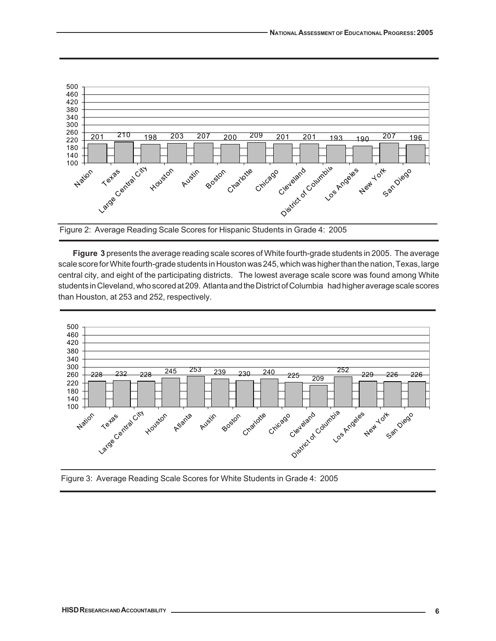

Figure 2: Average Reading Scale Scores for Hispanic Students in Grade 4: 2005

**Figure 3** presents the average reading scale scores of White fourth-grade students in 2005. The average scale score for White fourth-grade students in Houston was 245, which was higher than the nation, Texas, large central city, and eight of the participating districts. The lowest average scale score was found among White students in Cleveland, who scored at 209. Atlanta and the District of Columbia had higher average scale scores than Houston, at 253 and 252, respectively.



Figure 3: Average Reading Scale Scores for White Students in Grade 4: 2005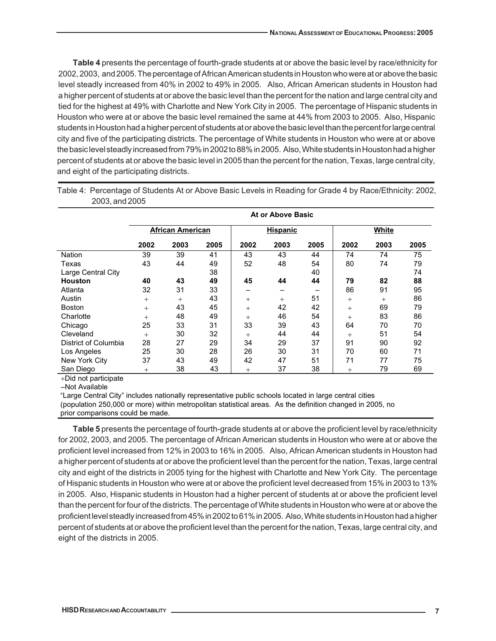Houston who were at or above the basic level remained the same at 44% from 2003 to 2005. Also, Hispanic students in Houston had a higher percent of students at or above the basic level than the percent for large central city and five of the participating districts. The percentage of White students in Houston who were at or above the basic level steadly increased from 79% in 2002 to 88% in 2005. Also, White students in Houston had a higher percent of students at or above the basic level in 2005 than the percent for the nation, Texas, large central city, and eight of the participating districts. **Table 4** presents the percentage of fourth-grade students at or above the basic level by race/ethnicity for 2002, 2003, and 2005. The percentage of African American students in Houston who were at or above the basic level steadly increased from 40% in 2002 to 49% in 2005. Also, African American students in Houston had a higher percent of students at or above the basic level than the percent for the nation and large central city and tied for the highest at 49% with Charlotte and New York City in 2005. The percentage of Hispanic students in

|                      | At or Above Basic |                         |      |        |                 |      |        |        |      |  |  |  |
|----------------------|-------------------|-------------------------|------|--------|-----------------|------|--------|--------|------|--|--|--|
|                      |                   | <b>African American</b> |      |        | <b>Hispanic</b> |      |        | White  |      |  |  |  |
|                      | 2002              | 2003                    | 2005 | 2002   | 2003            | 2005 | 2002   | 2003   | 2005 |  |  |  |
| Nation               | 39                | 39                      | 41   | 43     | 43              | 44   | 74     | 74     | 75   |  |  |  |
| Texas                | 43                | 44                      | 49   | 52     | 48              | 54   | 80     | 74     | 79   |  |  |  |
| Large Central City   |                   |                         | 38   |        |                 | 40   |        |        | 74   |  |  |  |
| <b>Houston</b>       | 40                | 43                      | 49   | 45     | 44              | 44   | 79     | 82     | 88   |  |  |  |
| Atlanta              | 32                | 31                      | 33   | -      |                 | -    | 86     | 91     | 95   |  |  |  |
| Austin               | $^{+}$            | $^{+}$                  | 43   | $^{+}$ | $^{+}$          | 51   | $^{+}$ | $^{+}$ | 86   |  |  |  |
| <b>Boston</b>        | $^{+}$            | 43                      | 45   | $^{+}$ | 42              | 42   | $^{+}$ | 69     | 79   |  |  |  |
| Charlotte            | $^{+}$            | 48                      | 49   | $^{+}$ | 46              | 54   | $^{+}$ | 83     | 86   |  |  |  |
| Chicago              | 25                | 33                      | 31   | 33     | 39              | 43   | 64     | 70     | 70   |  |  |  |
| Cleveland            | $^{+}$            | 30                      | 32   | $^{+}$ | 44              | 44   | $^{+}$ | 51     | 54   |  |  |  |
| District of Columbia | 28                | 27                      | 29   | 34     | 29              | 37   | 91     | 90     | 92   |  |  |  |
| Los Angeles          | 25                | 30                      | 28   | 26     | 30              | 31   | 70     | 60     | 71   |  |  |  |
| New York City        | 37                | 43                      | 49   | 42     | 47              | 51   | 71     | 77     | 75   |  |  |  |
| San Diego            | $^{+}$            | 38                      | 43   | $^{+}$ | 37              | 38   | $^{+}$ | 79     | 69   |  |  |  |

Table 4: Percentage of Students At or Above Basic Levels in Reading for Grade 4 by Race/Ethnicity: 2002, 2003, and 2005

+Did not participate

–Not Available

"Large Central City" includes nationally representative public schools located in large central cities (population 250,000 or more) within metropolitan statistical areas. As the definition changed in 2005, no prior comparisons could be made.

**Table 5** presents the percentage of fourth-grade students at or above the proficient level by race/ethnicity for 2002, 2003, and 2005. The percentage of African American students in Houston who were at or above the proficient level increased from 12% in 2003 to 16% in 2005. Also, African American students in Houston had a higher percent of students at or above the proficient level than the percent for the nation, Texas, large central city and eight of the districts in 2005 tying for the highest with Charlotte and New York City. The percentage of Hispanic students in Houston who were at or above the proficient level decreased from 15% in 2003 to 13% in 2005. Also, Hispanic students in Houston had a higher percent of students at or above the proficient level than the percent for four of the districts. The percentage of White students in Houston who were at or above the proficient level steadly increased from 45% in 2002 to 61% in 2005. Also, White students in Houston had a higher percent of students at or above the proficient level than the percent for the nation, Texas, large central city, and eight of the districts in 2005.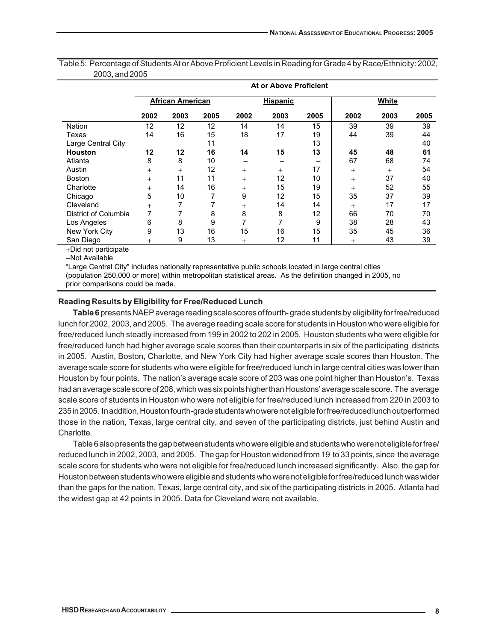|                      | At or Above Proficient |                         |      |        |                 |      |        |      |      |  |  |  |
|----------------------|------------------------|-------------------------|------|--------|-----------------|------|--------|------|------|--|--|--|
|                      |                        | <b>African American</b> |      |        | <b>Hispanic</b> |      | White  |      |      |  |  |  |
|                      | 2002                   | 2003                    | 2005 | 2002   | 2003            | 2005 | 2002   | 2003 | 2005 |  |  |  |
| <b>Nation</b>        | 12                     | 12                      | 12   | 14     | 14              | 15   | 39     | 39   | 39   |  |  |  |
| Texas                | 14                     | 16                      | 15   | 18     | 17              | 19   | 44     | 39   | 44   |  |  |  |
| Large Central City   |                        |                         | 11   |        |                 | 13   |        |      | 40   |  |  |  |
| <b>Houston</b>       | 12                     | 12                      | 16   | 14     | 15              | 13   | 45     | 48   | 61   |  |  |  |
| Atlanta              | 8                      | 8                       | 10   |        |                 |      | 67     | 68   | 74   |  |  |  |
| Austin               | $^{+}$                 | $^{+}$                  | 12   | $+$    | $^{+}$          | 17   | $+$    | $+$  | 54   |  |  |  |
| <b>Boston</b>        | $^{+}$                 | 11                      | 11   | $+$    | 12              | 10   | $^{+}$ | 37   | 40   |  |  |  |
| Charlotte            | $^{+}$                 | 14                      | 16   | $+$    | 15              | 19   | $^{+}$ | 52   | 55   |  |  |  |
| Chicago              | 5                      | 10                      | 7    | 9      | 12              | 15   | 35     | 37   | 39   |  |  |  |
| Cleveland            | $^{+}$                 |                         | 7    | $+$    | 14              | 14   | $^{+}$ | 17   | 17   |  |  |  |
| District of Columbia | 7                      |                         | 8    | 8      | 8               | 12   | 66     | 70   | 70   |  |  |  |
| Los Angeles          | 6                      | 8                       | 9    | 7      | 7               | 9    | 38     | 28   | 43   |  |  |  |
| New York City        | 9                      | 13                      | 16   | 15     | 16              | 15   | 35     | 45   | 36   |  |  |  |
| San Diego            | $^{+}$                 | 9                       | 13   | $^{+}$ | 12              | 11   | $^{+}$ | 43   | 39   |  |  |  |

Table 5: Percentage of Students At or Above Proficient Levels in Reading for Grade 4 by Race/Ethnicity: 2002, 2003, and 2005

+Did not participate

–Not Available

"Large Central City" includes nationally representative public schools located in large central cities

(population 250,000 or more) within metropolitan statistical areas. As the definition changed in 2005, no prior comparisons could be made.

## **Reading Results by Eligibility for Free/Reduced Lunch**

**Table 6** presents NAEP average reading scale scores of fourth- grade students by eligibility for free/reduced lunch for 2002, 2003, and 2005. The average reading scale score for students in Houston who were eligible for free/reduced lunch steadly increased from 199 in 2002 to 202 in 2005. Houston students who were eligible for free/reduced lunch had higher average scale scores than their counterparts in six of the participating districts in 2005. Austin, Boston, Charlotte, and New York City had higher average scale scores than Houston. The average scale score for students who were eligible for free/reduced lunch in large central cities was lower than Houston by four points. The nation's average scale score of 203 was one point higher than Houston's. Texas had an average scale score of 208, which was six points higher than Houstons' average scale score. The average scale score of students in Houston who were not eligible for free/reduced lunch increased from 220 in 2003 to 235 in 2005. In addition, Houston fourth-grade students who were not eligible for free/reduced lunch outperformed those in the nation, Texas, large central city, and seven of the participating districts, just behind Austin and Charlotte.

Table 6 also presents the gap between students who were eligible and students who were not eligible for free/ reduced lunch in 2002, 2003, and 2005. The gap for Houston widened from 19 to 33 points, since the average scale score for students who were not eligible for free/reduced lunch increased significantly. Also, the gap for Houston between students who were eligible and students who were not eligible for free/reduced lunch was wider than the gaps for the nation, Texas, large central city, and six of the participating districts in 2005. Atlanta had the widest gap at 42 points in 2005. Data for Cleveland were not available.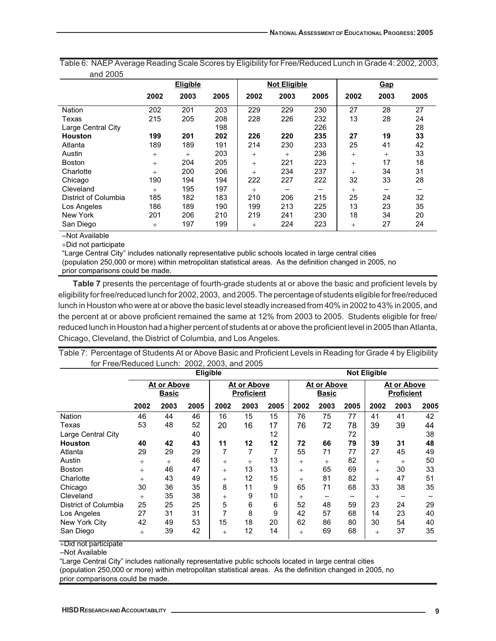| and 2005             |        |                 |      |        |                     |      |        |        |      |
|----------------------|--------|-----------------|------|--------|---------------------|------|--------|--------|------|
|                      |        | <b>Eligible</b> |      |        | <b>Not Eligible</b> |      |        | Gap    |      |
|                      | 2002   | 2003            | 2005 | 2002   | 2003                | 2005 | 2002   | 2003   | 2005 |
| <b>Nation</b>        | 202    | 201             | 203  | 229    | 229                 | 230  | 27     | 28     | 27   |
| Texas                | 215    | 205             | 208  | 228    | 226                 | 232  | 13     | 28     | 24   |
| Large Central City   |        |                 | 198  |        |                     | 226  |        |        | 28   |
| <b>Houston</b>       | 199    | 201             | 202  | 226    | 220                 | 235  | 27     | 19     | 33   |
| Atlanta              | 189    | 189             | 191  | 214    | 230                 | 233  | 25     | 41     | 42   |
| Austin               | $+$    | $^{+}$          | 203  | $+$    | $^{+}$              | 236  | $+$    | $^{+}$ | 33   |
| <b>Boston</b>        | $+$    | 204             | 205  | $+$    | 221                 | 223  | $+$    | 17     | 18   |
| Charlotte            | $^{+}$ | 200             | 206  | $+$    | 234                 | 237  | $^{+}$ | 34     | 31   |
| Chicago              | 190    | 194             | 194  | 222    | 227                 | 222  | 32     | 33     | 28   |
| Cleveland            | $^{+}$ | 195             | 197  | $^{+}$ |                     |      | $^{+}$ |        |      |
| District of Columbia | 185    | 182             | 183  | 210    | 206                 | 215  | 25     | 24     | 32   |
| Los Angeles          | 186    | 189             | 190  | 199    | 213                 | 225  | 13     | 23     | 35   |
| New York             | 201    | 206             | 210  | 219    | 241                 | 230  | 18     | 34     | 20   |
| San Diego            | $+$    | 197             | 199  | $^{+}$ | 224                 | 223  | $^{+}$ | 27     | 24   |

Table 6: NAEP Average Reading Scale Scores by Eligibility for Free/Reduced Lunch in Grade 4: 2002, 2003,

–Not Available

+Did not participate

"Large Central City" includes nationally representative public schools located in large central cities (population 250,000 or more) within metropolitan statistical areas. As the definition changed in 2005, no prior comparisons could be made.

**Table 7** presents the percentage of fourth-grade students at or above the basic and proficient levels by eligibility for free/reduced lunch for 2002, 2003, and 2005. The percentage of students eligible for free/reduced lunch in Houston who were at or above the basic level steadly increased from 40% in 2002 to 43% in 2005, and the percent at or above proficient remained the same at 12% from 2003 to 2005. Students eligible for free/ reduced lunch in Houston had a higher percent of students at or above the proficient level in 2005 than Atlanta, Chicago, Cleveland, the District of Columbia, and Los Angeles.

Table 7: Percentage of Students At or Above Basic and Proficient Levels in Reading for Grade 4 by Eligibility for Free/Reduced Lunch: 2002, 2003, and 2005

|                      | Eligible                    |        |      |                                  |      |      |        | <b>Not Eligible</b>         |      |        |                                  |      |  |
|----------------------|-----------------------------|--------|------|----------------------------------|------|------|--------|-----------------------------|------|--------|----------------------------------|------|--|
|                      | At or Above<br><b>Basic</b> |        |      | At or Above<br><b>Proficient</b> |      |      |        | At or Above<br><b>Basic</b> |      |        | At or Above<br><b>Proficient</b> |      |  |
|                      | 2002                        | 2003   | 2005 | 2002                             | 2003 | 2005 | 2002   | 2003                        | 2005 | 2002   | 2003                             | 2005 |  |
| <b>Nation</b>        | 46                          | 44     | 46   | 16                               | 15   | 15   | 76     | 75                          | 77   | 41     | 41                               | 42   |  |
| Texas                | 53                          | 48     | 52   | 20                               | 16   | 17   | 76     | 72                          | 78   | 39     | 39                               | 44   |  |
| Large Central City   |                             |        | 40   |                                  |      | 12   |        |                             | 72   |        |                                  | 38   |  |
| <b>Houston</b>       | 40                          | 42     | 43   | 11                               | 12   | 12   | 72     | 66                          | 79   | 39     | 31                               | 48   |  |
| Atlanta              | 29                          | 29     | 29   | 7                                | 7    | 7    | 55     | 71                          | 77   | 27     | 45                               | 49   |  |
| Austin               | $^{+}$                      | $^{+}$ | 46   | $^{+}$                           | $+$  | 13   | $^{+}$ | $^{+}$                      | 82   | $^{+}$ | $^{+}$                           | 50   |  |
| <b>Boston</b>        | $^{+}$                      | 46     | 47   | $^{+}$                           | 13   | 13   | $^{+}$ | 65                          | 69   | $^{+}$ | 30                               | 33   |  |
| Charlotte            | $^{+}$                      | 43     | 49   | $^{+}$                           | 12   | 15   | $^{+}$ | 81                          | 82   | $^{+}$ | 47                               | 51   |  |
| Chicago              | 30                          | 36     | 35   | 8                                | 11   | 9    | 65     | 71                          | 68   | 33     | 38                               | 35   |  |
| Cleveland            | $^{+}$                      | 35     | 38   | $^{+}$                           | 9    | 10   | $^{+}$ |                             | -    | $^{+}$ |                                  |      |  |
| District of Columbia | 25                          | 25     | 25   | 5                                | 6    | 6    | 52     | 48                          | 59   | 23     | 24                               | 29   |  |
| Los Angeles          | 27                          | 31     | 31   | 7                                | 8    | 9    | 42     | 57                          | 68   | 14     | 23                               | 40   |  |
| New York City        | 42                          | 49     | 53   | 15                               | 18   | 20   | 62     | 86                          | 80   | 30     | 54                               | 40   |  |
| San Diego<br>————    | $^{+}$                      | 39     | 42   | $^{+}$                           | 12   | 14   | $^{+}$ | 69                          | 68   | $^{+}$ | 37                               | 35   |  |

+Did not participate

–Not Available

"Large Central City" includes nationally representative public schools located in large central cities (population 250,000 or more) within metropolitan statistical areas. As the definition changed in 2005, no prior comparisons could be made.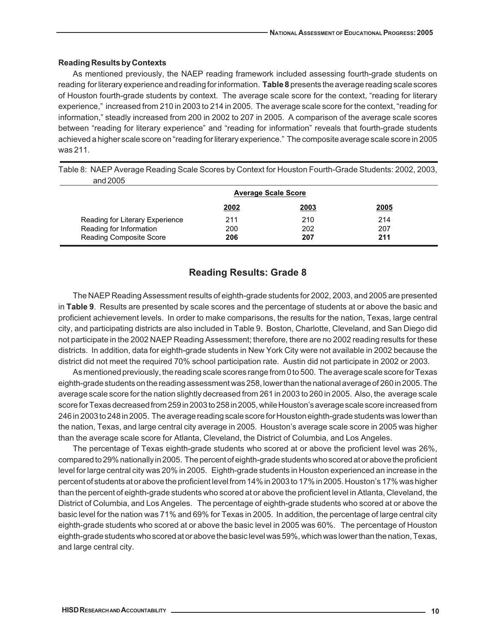### **Reading Results by Contexts**

As mentioned previously, the NAEP reading framework included assessing fourth-grade students on reading for literary experience and reading for information. **Table 8** presents the average reading scale scores of Houston fourth-grade students by context. The average scale score for the context, "reading for literary experience," increased from 210 in 2003 to 214 in 2005. The average scale score for the context, "reading for information," steadly increased from 200 in 2002 to 207 in 2005. A comparison of the average scale scores between "reading for literary experience" and "reading for information" reveals that fourth-grade students achieved a higher scale score on "reading for literary experience." The composite average scale score in 2005 was 211.

Table 8: NAEP Average Reading Scale Scores by Context for Houston Fourth-Grade Students: 2002, 2003, and 2005

|                                 | <b>Average Scale Score</b> |             |             |  |  |  |  |  |
|---------------------------------|----------------------------|-------------|-------------|--|--|--|--|--|
|                                 | 2002                       | <u>2003</u> | <u>2005</u> |  |  |  |  |  |
| Reading for Literary Experience | 211                        | 210         | 214         |  |  |  |  |  |
| Reading for Information         | 200                        | 202         | 207         |  |  |  |  |  |
| Reading Composite Score         | 206                        | 207         | 211         |  |  |  |  |  |

## **Reading Results: Grade 8**

The NAEP Reading Assessment results of eighth-grade students for 2002, 2003, and 2005 are presented in **Table 9**. Results are presented by scale scores and the percentage of students at or above the basic and proficient achievement levels. In order to make comparisons, the results for the nation, Texas, large central city, and participating districts are also included in Table 9. Boston, Charlotte, Cleveland, and San Diego did not participate in the 2002 NAEP Reading Assessment; therefore, there are no 2002 reading results for these districts. In addition, data for eighth-grade students in New York City were not available in 2002 because the district did not meet the required 70% school participation rate. Austin did not participate in 2002 or 2003.

As mentioned previously, the reading scale scores range from 0 to 500. The average scale score for Texas eighth-grade students on the reading assessment was 258, lower than the national average of 260 in 2005. The average scale score for the nation slightly decreased from 261 in 2003 to 260 in 2005. Also, the average scale score for Texas decreased from 259 in 2003 to 258 in 2005, while Houston's average scale score increased from 246 in 2003 to 248 in 2005. The average reading scale score for Houston eighth-grade students was lower than the nation, Texas, and large central city average in 2005. Houston's average scale score in 2005 was higher than the average scale score for Atlanta, Cleveland, the District of Columbia, and Los Angeles.

The percentage of Texas eighth-grade students who scored at or above the proficient level was 26%, compared to 29% nationally in 2005. The percent of eighth-grade students who scored at or above the proficient level for large central city was 20% in 2005. Eighth-grade students in Houston experienced an increase in the percent of students at or above the proficient level from 14% in 2003 to 17% in 2005. Houston's 17% was higher than the percent of eighth-grade students who scored at or above the proficient level in Atlanta, Cleveland, the District of Columbia, and Los Angeles. The percentage of eighth-grade students who scored at or above the basic level for the nation was 71% and 69% for Texas in 2005. In addition, the percentage of large central city eighth-grade students who scored at or above the basic level in 2005 was 60%. The percentage of Houston eighth-grade students who scored at or above the basic level was 59%, which was lower than the nation, Texas, and large central city.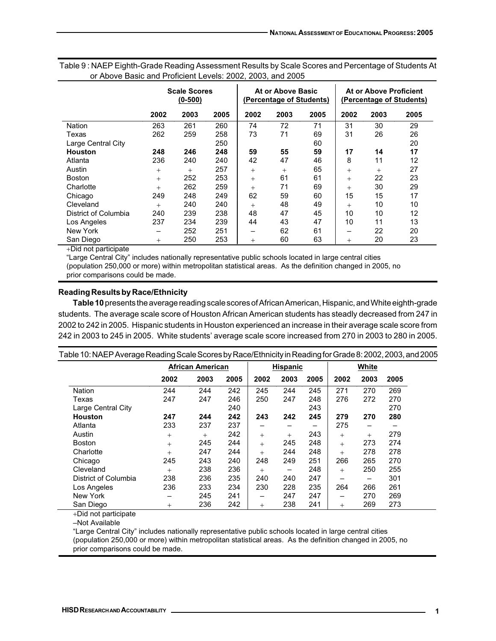|                      | <b>Scale Scores</b><br>$(0 - 500)$ |      |      |        | At or Above Basic<br>(Percentage of Students) |      | At or Above Proficient<br>(Percentage of Students) |        |      |  |
|----------------------|------------------------------------|------|------|--------|-----------------------------------------------|------|----------------------------------------------------|--------|------|--|
|                      | 2002                               | 2003 | 2005 | 2002   | 2003                                          | 2005 | 2002                                               | 2003   | 2005 |  |
| <b>Nation</b>        | 263                                | 261  | 260  | 74     | 72                                            | 71   | 31                                                 | 30     | 29   |  |
| Texas                | 262                                | 259  | 258  | 73     | 71                                            | 69   | 31                                                 | 26     | 26   |  |
| Large Central City   |                                    |      | 250  |        |                                               | 60   |                                                    |        | 20   |  |
| Houston              | 248                                | 246  | 248  | 59     | 55                                            | 59   | 17                                                 | 14     | 17   |  |
| Atlanta              | 236                                | 240  | 240  | 42     | 47                                            | 46   | 8                                                  | 11     | 12   |  |
| Austin               | $^{+}$                             | $+$  | 257  | $^{+}$ | $^{+}$                                        | 65   | $^{+}$                                             | $^{+}$ | 27   |  |
| <b>Boston</b>        | $^{+}$                             | 252  | 253  | $^{+}$ | 61                                            | 61   | $^{+}$                                             | 22     | 23   |  |
| Charlotte            | $^{+}$                             | 262  | 259  | $^{+}$ | 71                                            | 69   | $^{+}$                                             | 30     | 29   |  |
| Chicago              | 249                                | 248  | 249  | 62     | 59                                            | 60   | 15                                                 | 15     | 17   |  |
| Cleveland            | $^{+}$                             | 240  | 240  | $^{+}$ | 48                                            | 49   | $^{+}$                                             | 10     | 10   |  |
| District of Columbia | 240                                | 239  | 238  | 48     | 47                                            | 45   | 10                                                 | 10     | 12   |  |
| Los Angeles          | 237                                | 234  | 239  | 44     | 43                                            | 47   | 10                                                 | 11     | 13   |  |
| New York             | -                                  | 252  | 251  | -      | 62                                            | 61   | -                                                  | 22     | 20   |  |
| San Diego            | $^{+}$                             | 250  | 253  | $^{+}$ | 60                                            | 63   | $^{+}$                                             | 20     | 23   |  |

Table 9 : NAEP Eighth-Grade Reading Assessment Results by Scale Scores and Percentage of Students At or Above Basic and Proficient Levels: 2002, 2003, and 2005

+Did not participate

"Large Central City" includes nationally representative public schools located in large central cities (population 250,000 or more) within metropolitan statistical areas. As the definition changed in 2005, no prior comparisons could be made.

## **Reading Results by Race/Ethnicity**

**Table 10** presents the average reading scale scores of African American, Hispanic, and White eighth-grade students. The average scale score of Houston African American students has steadly decreased from 247 in 2002 to 242 in 2005. Hispanic students in Houston experienced an increase in their average scale score from 242 in 2003 to 245 in 2005. White students' average scale score increased from 270 in 2003 to 280 in 2005.

| Table 10: NAEP Average Reading Scale Scores by Race/Ethnicity in Reading for Grade 8: 2002, 2003, and 2005 |        |                         |      |        |                 |      |        |                 |      |  |
|------------------------------------------------------------------------------------------------------------|--------|-------------------------|------|--------|-----------------|------|--------|-----------------|------|--|
|                                                                                                            |        | <b>African American</b> |      |        | <b>Hispanic</b> |      | White  |                 |      |  |
|                                                                                                            | 2002   | 2003                    | 2005 | 2002   | 2003            | 2005 | 2002   | 2003            | 2005 |  |
| Nation                                                                                                     | 244    | 244                     | 242  | 245    | 244             | 245  | 271    | 270             | 269  |  |
| Texas                                                                                                      | 247    | 247                     | 246  | 250    | 247             | 248  | 276    | 272             | 270  |  |
| Large Central City                                                                                         |        |                         | 240  |        |                 | 243  |        |                 | 270  |  |
| <b>Houston</b>                                                                                             | 247    | 244                     | 242  | 243    | 242             | 245  | 279    | 270             | 280  |  |
| Atlanta                                                                                                    | 233    | 237                     | 237  |        |                 |      | 275    | —               |      |  |
| Austin                                                                                                     | $^{+}$ | $^{+}$                  | 242  | $+$    | $+$             | 243  | $^{+}$ | $^{+}$          | 279  |  |
| <b>Boston</b>                                                                                              | $^{+}$ | 245                     | 244  | $+$    | 245             | 248  | $^{+}$ | 273             | 274  |  |
| Charlotte                                                                                                  | $^{+}$ | 247                     | 244  | $^{+}$ | 244             | 248  | $^{+}$ | 278             | 278  |  |
| Chicago                                                                                                    | 245    | 243                     | 240  | 248    | 249             | 251  | 266    | 265             | 270  |  |
| Cleveland                                                                                                  | $+$    | 238                     | 236  | $+$    | —               | 248  | $^{+}$ | 250             | 255  |  |
| District of Columbia                                                                                       | 238    | 236                     | 235  | 240    | 240             | 247  | -      | $\qquad \qquad$ | 301  |  |
| Los Angeles                                                                                                | 236    | 233                     | 234  | 230    | 228             | 235  | 264    | 266             | 261  |  |
| New York                                                                                                   |        | 245                     | 241  | -      | 247             | 247  | —      | 270             | 269  |  |
| San Diego                                                                                                  | $^{+}$ | 236                     | 242  | $^{+}$ | 238             | 241  | $^{+}$ | 269             | 273  |  |

+Did not participate

–Not Available

"Large Central City" includes nationally representative public schools located in large central cities (population 250,000 or more) within metropolitan statistical areas. As the definition changed in 2005, no prior comparisons could be made.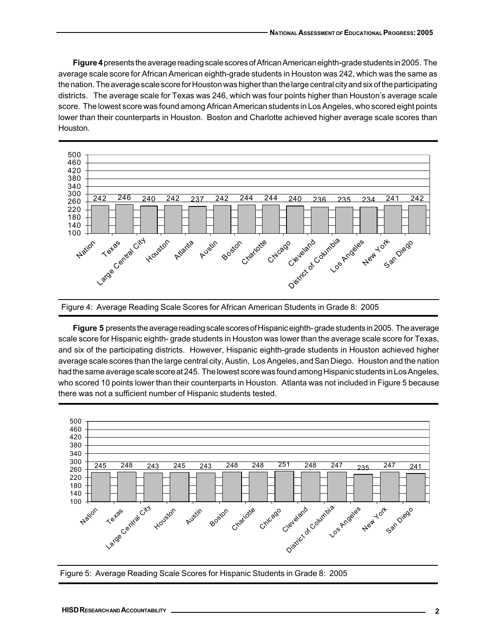**Figure 4** presents the average reading scale scores of African American eighth-grade students in 2005. The average scale score for African American eighth-grade students in Houston was 242, which was the same as the nation. The average scale score for Houston was higher than the large central city and six of the participating districts. The average scale for Texas was 246, which was four points higher than Houston's average scale score. The lowest score was found among African American students in Los Angeles, who scored eight points lower than their counterparts in Houston. Boston and Charlotte achieved higher average scale scores than Houston.





**Figure 5** presents the average reading scale scores of Hispanic eighth- grade students in 2005. The average scale score for Hispanic eighth- grade students in Houston was lower than the average scale score for Texas, and six of the participating districts. However, Hispanic eighth-grade students in Houston achieved higher average scale scores than the large central city, Austin, Los Angeles, and San Diego. Houston and the nation had the same average scale score at 245. The lowest score was found among Hispanic students in Los Angeles, who scored 10 points lower than their counterparts in Houston. Atlanta was not included in Figure 5 because there was not a sufficient number of Hispanic students tested.



Figure 5: Average Reading Scale Scores for Hispanic Students in Grade 8: 2005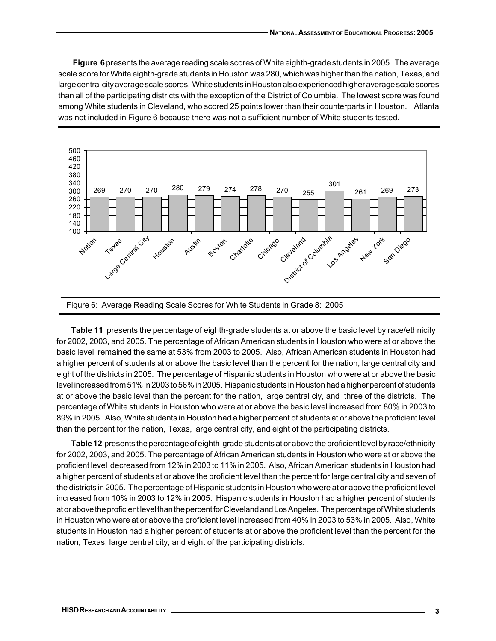**Figure 6** presents the average reading scale scores of White eighth-grade students in 2005. The average scale score for White eighth-grade students in Houston was 280, which was higher than the nation, Texas, and large central city average scale scores. White students in Houston also experienced higher average scale scores than all of the participating districts with the exception of the District of Columbia. The lowest score was found among White students in Cleveland, who scored 25 points lower than their counterparts in Houston. Atlanta was not included in Figure 6 because there was not a sufficient number of White students tested.





**Table 11** presents the percentage of eighth-grade students at or above the basic level by race/ethnicity for 2002, 2003, and 2005. The percentage of African American students in Houston who were at or above the basic level remained the same at 53% from 2003 to 2005. Also, African American students in Houston had a higher percent of students at or above the basic level than the percent for the nation, large central city and eight of the districts in 2005. The percentage of Hispanic students in Houston who were at or above the basic level increased from 51% in 2003 to 56% in 2005. Hispanic students in Houston had a higher percent of students at or above the basic level than the percent for the nation, large central ciy, and three of the districts. The percentage of White students in Houston who were at or above the basic level increased from 80% in 2003 to 89% in 2005. Also, White students in Houston had a higher percent of students at or above the proficient level than the percent for the nation, Texas, large central city, and eight of the participating districts.

**Table 12** presents the percentage of eighth-grade students at or above the proficient level by race/ethnicity for 2002, 2003, and 2005. The percentage of African American students in Houston who were at or above the proficient level decreased from 12% in 2003 to 11% in 2005. Also, African American students in Houston had a higher percent of students at or above the proficient level than the percent for large central city and seven of the districts in 2005. The percentage of Hispanic students in Houston who were at or above the proficient level increased from 10% in 2003 to 12% in 2005. Hispanic students in Houston had a higher percent of students at or above the proficient level than the percent for Cleveland and Los Angeles. The percentage of White students in Houston who were at or above the proficient level increased from 40% in 2003 to 53% in 2005. Also, White students in Houston had a higher percent of students at or above the proficient level than the percent for the nation, Texas, large central city, and eight of the participating districts.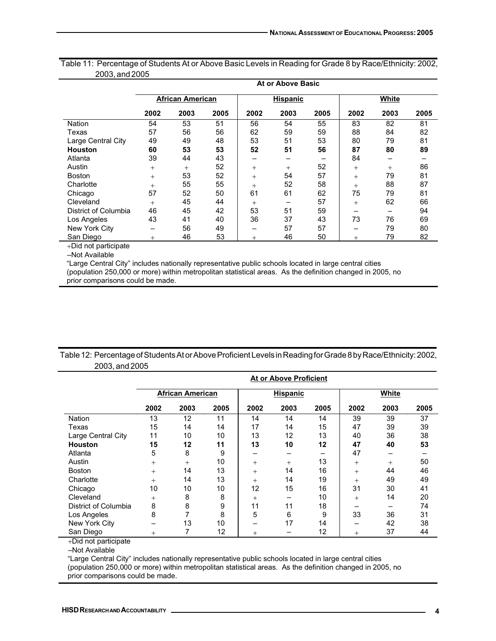|                      | At or Above Basic |                         |      |        |                 |      |        |        |      |  |  |  |
|----------------------|-------------------|-------------------------|------|--------|-----------------|------|--------|--------|------|--|--|--|
|                      |                   | <b>African American</b> |      |        | <b>Hispanic</b> |      |        | White  |      |  |  |  |
|                      | 2002              | 2003                    | 2005 | 2002   | 2003            | 2005 | 2002   | 2003   | 2005 |  |  |  |
| <b>Nation</b>        | 54                | 53                      | 51   | 56     | 54              | 55   | 83     | 82     | 81   |  |  |  |
| Texas                | 57                | 56                      | 56   | 62     | 59              | 59   | 88     | 84     | 82   |  |  |  |
| Large Central City   | 49                | 49                      | 48   | 53     | 51              | 53   | 80     | 79     | 81   |  |  |  |
| <b>Houston</b>       | 60                | 53                      | 53   | 52     | 51              | 56   | 87     | 80     | 89   |  |  |  |
| Atlanta              | 39                | 44                      | 43   |        |                 |      | 84     |        |      |  |  |  |
| Austin               | $+$               | $+$                     | 52   | $^{+}$ | $^{+}$          | 52   | $^{+}$ | $^{+}$ | 86   |  |  |  |
| <b>Boston</b>        | $^{+}$            | 53                      | 52   | $^{+}$ | 54              | 57   | $^{+}$ | 79     | 81   |  |  |  |
| Charlotte            | $^{+}$            | 55                      | 55   | $^{+}$ | 52              | 58   | $^{+}$ | 88     | 87   |  |  |  |
| Chicago              | 57                | 52                      | 50   | 61     | 61              | 62   | 75     | 79     | 81   |  |  |  |
| Cleveland            | $+$               | 45                      | 44   | $^{+}$ |                 | 57   | $^{+}$ | 62     | 66   |  |  |  |
| District of Columbia | 46                | 45                      | 42   | 53     | 51              | 59   |        |        | 94   |  |  |  |
| Los Angeles          | 43                | 41                      | 40   | 36     | 37              | 43   | 73     | 76     | 69   |  |  |  |
| New York City        |                   | 56                      | 49   |        | 57              | 57   |        | 79     | 80   |  |  |  |
| San Diego            | $^{+}$            | 46                      | 53   | $^{+}$ | 46              | 50   | $^{+}$ | 79     | 82   |  |  |  |

Table 11: Percentage of Students At or Above Basic Levels in Reading for Grade 8 by Race/Ethnicity: 2002, 2003, and 2005

+Did not participate

–Not Available

"Large Central City" includes nationally representative public schools located in large central cities (population 250,000 or more) within metropolitan statistical areas. As the definition changed in 2005, no prior comparisons could be made.

|                | Table 12: Percentage of Students At or Above Proficient Levels in Reading for Grade 8 by Race/Ethnicity: 2002, |
|----------------|----------------------------------------------------------------------------------------------------------------|
| 2003, and 2005 |                                                                                                                |

|                      | <b>At or Above Proficient</b> |        |      |        |                 |      |        |        |      |  |  |  |
|----------------------|-------------------------------|--------|------|--------|-----------------|------|--------|--------|------|--|--|--|
|                      | <b>African American</b>       |        |      |        | <b>Hispanic</b> |      |        | White  |      |  |  |  |
|                      | 2002                          | 2003   | 2005 | 2002   | 2003            | 2005 | 2002   | 2003   | 2005 |  |  |  |
| <b>Nation</b>        | 13                            | 12     | 11   | 14     | 14              | 14   | 39     | 39     | 37   |  |  |  |
| Texas                | 15                            | 14     | 14   | 17     | 14              | 15   | 47     | 39     | 39   |  |  |  |
| Large Central City   | 11                            | 10     | 10   | 13     | 12              | 13   | 40     | 36     | 38   |  |  |  |
| <b>Houston</b>       | 15                            | 12     | 11   | 13     | 10              | 12   | 47     | 40     | 53   |  |  |  |
| Atlanta              | 5                             | 8      | 9    | -      | -               |      | 47     | –      |      |  |  |  |
| Austin               | $^{+}$                        | $^{+}$ | 10   | $^{+}$ | $^{+}$          | 13   | $^{+}$ | $^{+}$ | 50   |  |  |  |
| <b>Boston</b>        | $+$                           | 14     | 13   | $^{+}$ | 14              | 16   | $^{+}$ | 44     | 46   |  |  |  |
| Charlotte            | $^{+}$                        | 14     | 13   | $^{+}$ | 14              | 19   | $^{+}$ | 49     | 49   |  |  |  |
| Chicago              | 10                            | 10     | 10   | 12     | 15              | 16   | 31     | 30     | 41   |  |  |  |
| Cleveland            | $^{+}$                        | 8      | 8    | $^{+}$ | –               | 10   | $^{+}$ | 14     | 20   |  |  |  |
| District of Columbia | 8                             | 8      | 9    | 11     | 11              | 18   |        | -      | 74   |  |  |  |
| Los Angeles          | 8                             |        | 8    | 5      | 6               | 9    | 33     | 36     | 31   |  |  |  |
| New York City        |                               | 13     | 10   |        | 17              | 14   |        | 42     | 38   |  |  |  |
| San Diego            | $^{+}$                        |        | 12   | $^{+}$ |                 | 12   | $^{+}$ | 37     | 44   |  |  |  |

+Did not participate

–Not Available

"Large Central City" includes nationally representative public schools located in large central cities (population 250,000 or more) within metropolitan statistical areas. As the definition changed in 2005, no prior comparisons could be made.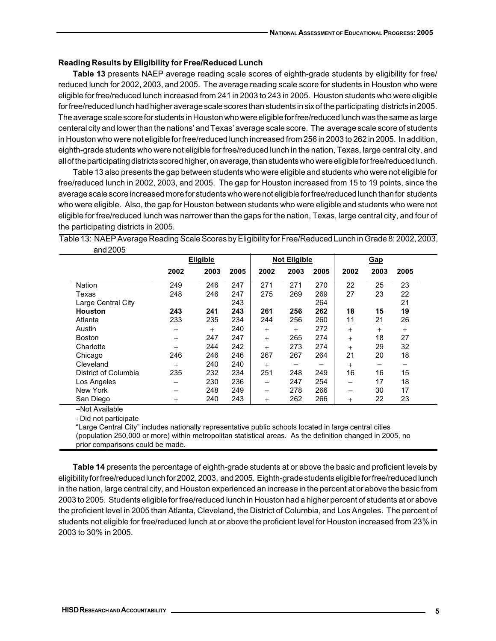#### **Reading Results by Eligibility for Free/Reduced Lunch**

**Table 13** presents NAEP average reading scale scores of eighth-grade students by eligibility for free/ reduced lunch for 2002, 2003, and 2005. The average reading scale score for students in Houston who were eligible for free/reduced lunch increased from 241 in 2003 to 243 in 2005. Houston students who were eligible for free/reduced lunch had higher average scale scores than students in six of the participating districts in 2005. The average scale score for students in Houston who were eligible for free/reduced lunch was the same as large centeral city and lower than the nations' and Texas' average scale score. The average scale score of students in Houston who were not eligible for free/reduced lunch increased from 256 in 2003 to 262 in 2005. In addition, eighth-grade students who were not eligible for free/reduced lunch in the nation, Texas, large central city, and all of the participating districts scored higher, on average, than students who were eligible for free/reduced lunch.

Table 13 also presents the gap between students who were eligible and students who were not eligible for free/reduced lunch in 2002, 2003, and 2005. The gap for Houston increased from 15 to 19 points, since the average scale score increased more for students who were not eligible for free/reduced lunch than for students who were eligible. Also, the gap for Houston between students who were eligible and students who were not eligible for free/reduced lunch was narrower than the gaps for the nation, Texas, large central city, and four of the participating districts in 2005.

Table 13: NAEP Average Reading Scale Scores by Eligibility for Free/Reduced Lunch in Grade 8: 2002, 2003, and 2005

|                      | <b>Eligible</b> |      |      |        | <b>Not Eligible</b> |      |        | Gap    |        |
|----------------------|-----------------|------|------|--------|---------------------|------|--------|--------|--------|
|                      | 2002            | 2003 | 2005 | 2002   | 2003                | 2005 | 2002   | 2003   | 2005   |
| <b>Nation</b>        | 249             | 246  | 247  | 271    | 271                 | 270  | 22     | 25     | 23     |
| Texas                | 248             | 246  | 247  | 275    | 269                 | 269  | 27     | 23     | 22     |
| Large Central City   |                 |      | 243  |        |                     | 264  |        |        | 21     |
| <b>Houston</b>       | 243             | 241  | 243  | 261    | 256                 | 262  | 18     | 15     | 19     |
| Atlanta              | 233             | 235  | 234  | 244    | 256                 | 260  | 11     | 21     | 26     |
| Austin               | $^{+}$          | $+$  | 240  | $^{+}$ | $^{+}$              | 272  | $^{+}$ | $^{+}$ | $^{+}$ |
| <b>Boston</b>        | $^{+}$          | 247  | 247  | $^{+}$ | 265                 | 274  | $^{+}$ | 18     | 27     |
| Charlotte            | $^{+}$          | 244  | 242  | $^{+}$ | 273                 | 274  | $^{+}$ | 29     | 32     |
| Chicago              | 246             | 246  | 246  | 267    | 267                 | 264  | 21     | 20     | 18     |
| Cleveland            | $^{+}$          | 240  | 240  | $^{+}$ |                     | -    | $^{+}$ |        | -      |
| District of Columbia | 235             | 232  | 234  | 251    | 248                 | 249  | 16     | 16     | 15     |
| Los Angeles          | –               | 230  | 236  |        | 247                 | 254  |        | 17     | 18     |
| New York             |                 | 248  | 249  | -      | 278                 | 266  |        | 30     | 17     |
| San Diego            | $^{+}$          | 240  | 243  | $^{+}$ | 262                 | 266  | $^{+}$ | 22     | 23     |

–Not Available

+Did not participate

"Large Central City" includes nationally representative public schools located in large central cities (population 250,000 or more) within metropolitan statistical areas. As the definition changed in 2005, no prior comparisons could be made.

**Table 14** presents the percentage of eighth-grade students at or above the basic and proficient levels by eligibility for free/reduced lunch for 2002, 2003, and 2005. Eighth-grade students eligible for free/reduced lunch in the nation, large central city, and Houston experienced an increase in the percent at or above the basic from 2003 to 2005. Students eligible for free/reduced lunch in Houston had a higher percent of students at or above the proficient level in 2005 than Atlanta, Cleveland, the District of Columbia, and Los Angeles. The percent of students not eligible for free/reduced lunch at or above the proficient level for Houston increased from 23% in 2003 to 30% in 2005.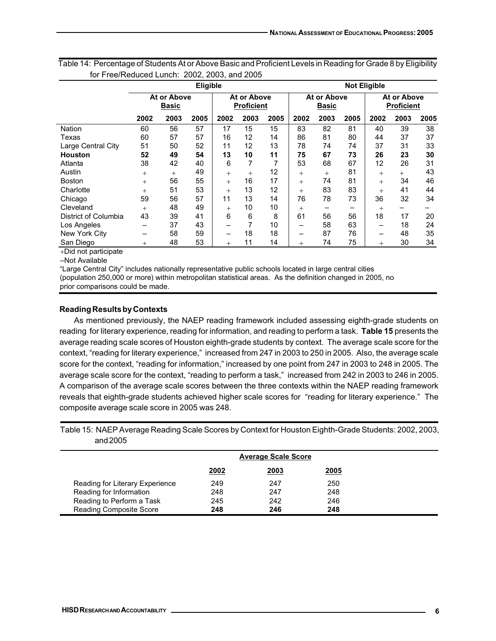| Eligible                    |      |        |        |      |                                  | <b>Not Eligible</b>         |      |                          |                                         |      |  |
|-----------------------------|------|--------|--------|------|----------------------------------|-----------------------------|------|--------------------------|-----------------------------------------|------|--|
| At or Above<br><b>Basic</b> |      |        |        |      |                                  | At or Above<br><b>Basic</b> |      |                          | <b>At or Above</b><br><b>Proficient</b> |      |  |
| 2003                        | 2005 | 2002   | 2003   | 2005 | 2002                             | 2003                        | 2005 | 2002                     | 2003                                    | 2005 |  |
| 56                          | 57   | 17     | 15     | 15   | 83                               | 82                          | 81   | 40                       | 39                                      | 38   |  |
| 57                          | 57   | 16     | 12     | 14   | 86                               | 81                          | 80   | 44                       | 37                                      | 37   |  |
| 50                          | 52   | 11     | 12     | 13   | 78                               | 74                          | 74   | 37                       | 31                                      | 33   |  |
| 49                          | 54   | 13     | 10     | 11   | 75                               | 67                          | 73   | 26                       | 23                                      | 30   |  |
| 42                          | 40   | 6      | 7      |      | 53                               | 68                          | 67   | 12                       | 26                                      | 31   |  |
| $^{+}$                      | 49   | $+$    | $^{+}$ | 12   | $^{+}$                           | $^{+}$                      | 81   | $^{+}$                   | $+$                                     | 43   |  |
| 56                          | 55   | $+$    | 16     | 17   | $^{+}$                           | 74                          | 81   | $^{+}$                   | 34                                      | 46   |  |
| 51                          | 53   | $+$    | 13     | 12   | $^{+}$                           | 83                          | 83   | $^{+}$                   | 41                                      | 44   |  |
| 56                          | 57   | 11     | 13     | 14   | 76                               | 78                          | 73   | 36                       | 32                                      | 34   |  |
| 48                          | 49   | $+$    | 10     | 10   | $^{+}$                           |                             |      | $^{+}$                   |                                         |      |  |
| 39                          | 41   | 6      | 6      | 8    | 61                               | 56                          | 56   | 18                       | 17                                      | 20   |  |
| 37                          | 43   | -      |        | 10   |                                  | 58                          | 63   | -                        | 18                                      | 24   |  |
| 58                          | 59   | -      | 18     | 18   | -                                | 87                          | 76   | $\overline{\phantom{0}}$ | 48                                      | 35   |  |
| 48                          | 53   | $^{+}$ | 11     | 14   | $^{+}$                           | 74                          | 75   | $^{+}$                   | 30                                      | 34   |  |
|                             |      |        |        |      | At or Above<br><b>Proficient</b> |                             |      |                          |                                         |      |  |

Table 14: Percentage of Students At or Above Basic and Proficient Levels in Reading for Grade 8 by Eligibility for Free/Reduced Lunch: 2002, 2003, and 2005

+Did not participate

–Not Available

"Large Central City" includes nationally representative public schools located in large central cities (population 250,000 or more) within metropolitan statistical areas. As the definition changed in 2005, no prior comparisons could be made.

## **Reading Results by Contexts**

As mentioned previously, the NAEP reading framework included assessing eighth-grade students on reading for literary experience, reading for information, and reading to perform a task. **Table 15** presents the average reading scale scores of Houston eighth-grade students by context. The average scale score for the context, "reading for literary experience," increased from 247 in 2003 to 250 in 2005. Also, the average scale score for the context, "reading for information," increased by one point from 247 in 2003 to 248 in 2005. The average scale score for the context, "reading to perform a task," increased from 242 in 2003 to 246 in 2005. A comparison of the average scale scores between the three contexts within the NAEP reading framework reveals that eighth-grade students achieved higher scale scores for "reading for literary experience." The composite average scale score in 2005 was 248.

Table 15: NAEP Average Reading Scale Scores by Context for Houston Eighth-Grade Students: 2002, 2003, and 2005

|                                 | <b>Average Scale Score</b> |      |             |  |  |  |
|---------------------------------|----------------------------|------|-------------|--|--|--|
|                                 | <u>2002</u>                | 2003 | <u>2005</u> |  |  |  |
| Reading for Literary Experience | 249                        | 247  | 250         |  |  |  |
| Reading for Information         | 248                        | 247  | 248         |  |  |  |
| Reading to Perform a Task       | 245                        | 242  | 246         |  |  |  |
| <b>Reading Composite Score</b>  | 248                        | 246  | 248         |  |  |  |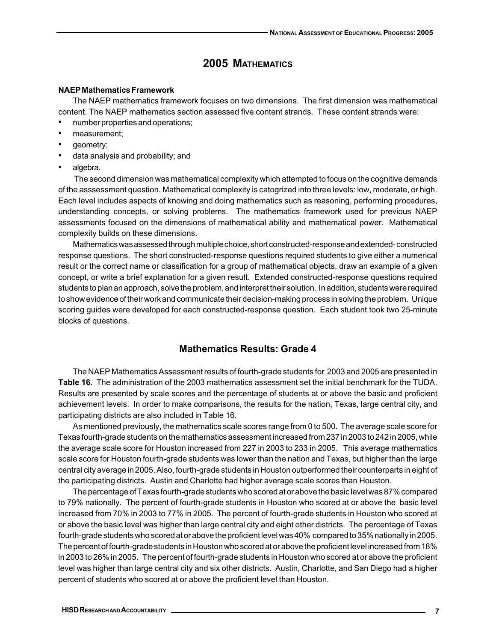## **2005 MATHEMATICS**

#### **NAEP Mathematics Framework**

The NAEP mathematics framework focuses on two dimensions. The first dimension was mathematical content. The NAEP mathematics section assessed five content strands. These content strands were:

- number properties and operations;
- measurement;
- geometry;
- data analysis and probability; and
- algebra.

 The second dimension was mathematical complexity which attempted to focus on the cognitive demands of the asssessment question. Mathematical complexity is catogrized into three levels: low, moderate, or high. Each level includes aspects of knowing and doing mathematics such as reasoning, performing procedures, understanding concepts, or solving problems. The mathematics framework used for previous NAEP assessments focused on the dimensions of mathematical ability and mathematical power. Mathematical complexity builds on these dimensions.

Mathematics was assessed through multiple choice, short constructed-response and extended- constructed response questions. The short constructed-response questions required students to give either a numerical result or the correct name or classification for a group of mathematical objects, draw an example of a given concept, or write a brief explanation for a given result. Extended constructed-response questions required students to plan an approach, solve the problem, and interpret their solution. In addition, students were required to show evidence of their work and communicate their decision-making process in solving the problem. Unique scoring guides were developed for each constructed-response question. Each student took two 25-minute blocks of questions.

## **Mathematics Results: Grade 4**

The NAEP Mathematics Assessment results of fourth-grade students for 2003 and 2005 are presented in **Table 16**. The administration of the 2003 mathematics assessment set the initial benchmark for the TUDA. Results are presented by scale scores and the percentage of students at or above the basic and proficient achievement levels. In order to make comparisons, the results for the nation, Texas, large central city, and participating districts are also included in Table 16.

As mentioned previously, the mathematics scale scores range from 0 to 500. The average scale score for Texas fourth-grade students on the mathematics assessment increased from 237 in 2003 to 242 in 2005, while the average scale score for Houston increased from 227 in 2003 to 233 in 2005. This average mathematics scale score for Houston fourth-grade students was lower than the nation and Texas, but higher than the large central city average in 2005. Also, fourth-grade students in Houston outperformed their counterparts in eight of the participating districts. Austin and Charlotte had higher average scale scores than Houston.

The percentage of Texas fourth-grade students who scored at or above the basic level was 87% compared to 79% nationally. The percent of fourth-grade students in Houston who scored at or above the basic level increased from 70% in 2003 to 77% in 2005. The percent of fourth-grade students in Houston who scored at or above the basic level was higher than large central city and eight other districts. The percentage of Texas fourth-grade students who scored at or above the proficient level was 40% compared to 35% nationally in 2005. The percent of fourth-grade students in Houston who scored at or above the proficient level increased from 18% in 2003 to 26% in 2005. The percent of fourth-grade students in Houston who scored at or above the proficient level was higher than large central city and six other districts. Austin, Charlotte, and San Diego had a higher percent of students who scored at or above the proficient level than Houston.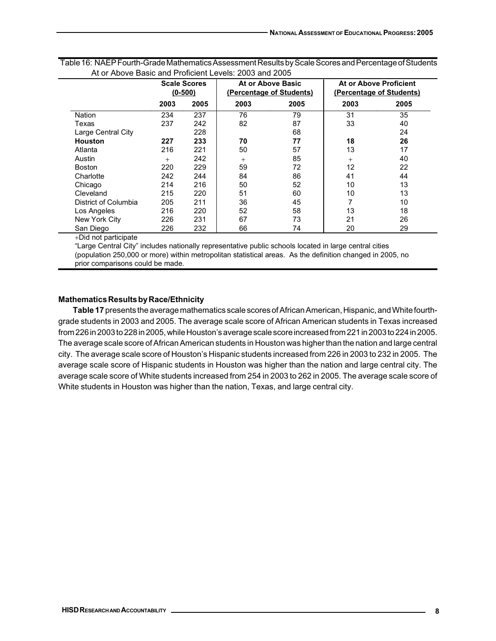|                      | <b>Scale Scores</b><br>$(0-500)$ |      |        | At or Above Basic<br>(Percentage of Students) | At or Above Proficient<br>(Percentage of Students) |      |  |
|----------------------|----------------------------------|------|--------|-----------------------------------------------|----------------------------------------------------|------|--|
|                      | 2003                             | 2005 | 2003   | 2005                                          | 2003                                               | 2005 |  |
| <b>Nation</b>        | 234                              | 237  | 76     | 79                                            | 31                                                 | 35   |  |
| Texas                | 237                              | 242  | 82     | 87                                            | 33                                                 | 40   |  |
| Large Central City   |                                  | 228  |        | 68                                            |                                                    | 24   |  |
| Houston              | 227                              | 233  | 70     | 77                                            | 18                                                 | 26   |  |
| Atlanta              | 216                              | 221  | 50     | 57                                            | 13                                                 | 17   |  |
| Austin               | $^{+}$                           | 242  | $^{+}$ | 85                                            | $^{+}$                                             | 40   |  |
| <b>Boston</b>        | 220                              | 229  | 59     | 72                                            | 12                                                 | 22   |  |
| Charlotte            | 242                              | 244  | 84     | 86                                            | 41                                                 | 44   |  |
| Chicago              | 214                              | 216  | 50     | 52                                            | 10                                                 | 13   |  |
| Cleveland            | 215                              | 220  | 51     | 60                                            | 10                                                 | 13   |  |
| District of Columbia | 205                              | 211  | 36     | 45                                            |                                                    | 10   |  |
| Los Angeles          | 216                              | 220  | 52     | 58                                            | 13                                                 | 18   |  |
| New York City        | 226                              | 231  | 67     | 73                                            | 21                                                 | 26   |  |
| San Diego            | 226                              | 232  | 66     | 74                                            | 20                                                 | 29   |  |

Table 16: NAEP Fourth-Grade Mathematics Assessment Results by Scale Scores and Percentage of Students At or Above Basic and Proficient Levels: 2003 and 2005

+Did not participate

"Large Central City" includes nationally representative public schools located in large central cities (population 250,000 or more) within metropolitan statistical areas. As the definition changed in 2005, no prior comparisons could be made.

## **Mathematics Results by Race/Ethnicity**

**Table 17** presents the average mathematics scale scores of African American, Hispanic, and White fourthgrade students in 2003 and 2005. The average scale score of African American students in Texas increased from 226 in 2003 to 228 in 2005, while Houston's average scale score increased from 221 in 2003 to 224 in 2005. The average scale score of African American students in Houston was higher than the nation and large central city. The average scale score of Houston's Hispanic students increased from 226 in 2003 to 232 in 2005. The average scale score of Hispanic students in Houston was higher than the nation and large central city. The average scale score of White students increased from 254 in 2003 to 262 in 2005. The average scale score of White students in Houston was higher than the nation, Texas, and large central city.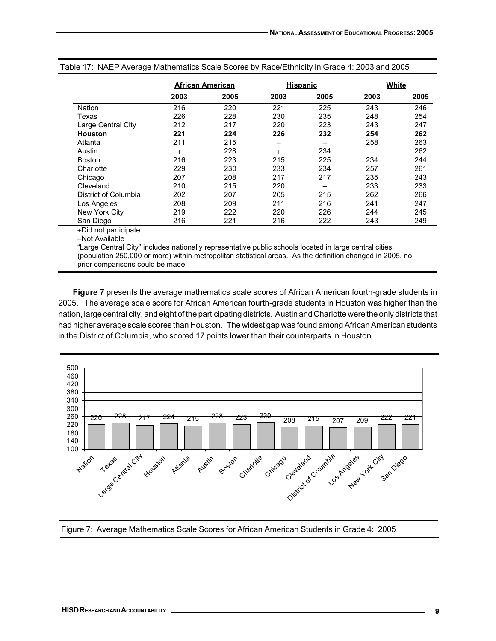|                      |        | African American |      | <b>Hispanic</b> |      | White |
|----------------------|--------|------------------|------|-----------------|------|-------|
|                      | 2003   | 2005             | 2003 | 2005            | 2003 | 2005  |
| <b>Nation</b>        | 216    | 220              | 221  | 225             | 243  | 246   |
| Texas                | 226    | 228              | 230  | 235             | 248  | 254   |
| Large Central City   | 212    | 217              | 220  | 223             | 243  | 247   |
| <b>Houston</b>       | 221    | 224              | 226  | 232             | 254  | 262   |
| Atlanta              | 211    | 215              |      |                 | 258  | 263   |
| Austin               | $^{+}$ | 228              | $+$  | 234             | $+$  | 262   |
| <b>Boston</b>        | 216    | 223              | 215  | 225             | 234  | 244   |
| Charlotte            | 229    | 230              | 233  | 234             | 257  | 261   |
| Chicago              | 207    | 208              | 217  | 217             | 235  | 243   |
| Cleveland            | 210    | 215              | 220  |                 | 233  | 233   |
| District of Columbia | 202    | 207              | 205  | 215             | 262  | 266   |
| Los Angeles          | 208    | 209              | 211  | 216             | 241  | 247   |
| New York City        | 219    | 222              | 220  | 226             | 244  | 245   |
| San Diego            | 216    | 221              | 216  | 222             | 243  | 249   |

Table 17: NAEP Average Mathematics Scale Scores by Race/Ethnicity in Grade 4: 2003 and 2005

+Did not participate

–Not Available

"Large Central City" includes nationally representative public schools located in large central cities (population 250,000 or more) within metropolitan statistical areas. As the definition changed in 2005, no prior comparisons could be made.

**Figure 7** presents the average mathematics scale scores of African American fourth-grade students in 2005. The average scale score for African American fourth-grade students in Houston was higher than the nation, large central city, and eight of the participating districts. Austin and Charlotte were the only districts that had higher average scale scores than Houston. The widest gap was found among African American students in the District of Columbia, who scored 17 points lower than their counterparts in Houston.



Figure 7: Average Mathematics Scale Scores for African American Students in Grade 4: 2005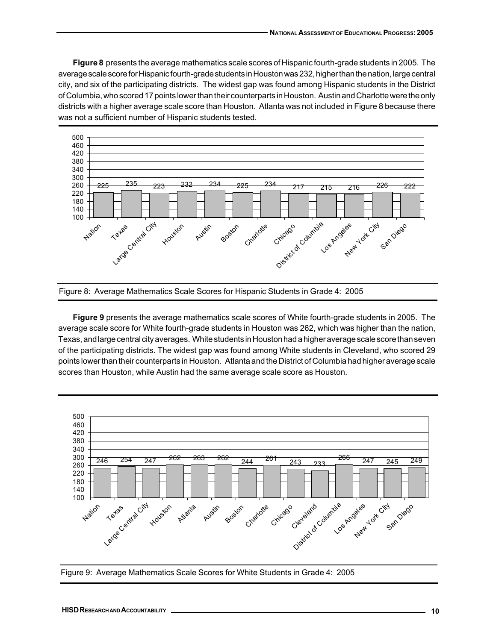**Figure 8** presents the average mathematics scale scores of Hispanic fourth-grade students in 2005. The average scale score for Hispanic fourth-grade students in Houston was 232, higher than the nation, large central city, and six of the participating districts. The widest gap was found among Hispanic students in the District of Columbia, who scored 17 points lower than their counterparts in Houston. Austin and Charlotte were the only districts with a higher average scale score than Houston. Atlanta was not included in Figure 8 because there was not a sufficient number of Hispanic students tested.





**Figure 9** presents the average mathematics scale scores of White fourth-grade students in 2005. The average scale score for White fourth-grade students in Houston was 262, which was higher than the nation, Texas, and large central city averages. White students in Houston had a higher average scale score than seven of the participating districts. The widest gap was found among White students in Cleveland, who scored 29 points lower than their counterparts in Houston. Atlanta and the District of Columbia had higher average scale scores than Houston, while Austin had the same average scale score as Houston.



Figure 9: Average Mathematics Scale Scores for White Students in Grade 4: 2005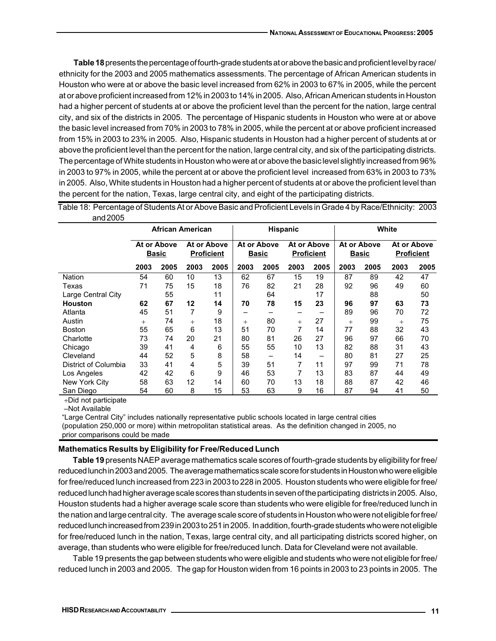**Table 18** presents the percentage of fourth-grade students at or above the basic and proficient level by race/ ethnicity for the 2003 and 2005 mathematics assessments. The percentage of African American students in Houston who were at or above the basic level increased from 62% in 2003 to 67% in 2005, while the percent at or above proficient increased from 12% in 2003 to 14% in 2005. Also, African American students in Houston had a higher percent of students at or above the proficient level than the percent for the nation, large central city, and six of the districts in 2005. The percentage of Hispanic students in Houston who were at or above the basic level increased from 70% in 2003 to 78% in 2005, while the percent at or above proficient increased from 15% in 2003 to 23% in 2005. Also, Hispanic students in Houston had a higher percent of students at or above the proficient level than the percent for the nation, large central city, and six of the participating districts. The percentage of White students in Houston who were at or above the basic level slightly increased from 96% in 2003 to 97% in 2005, while the percent at or above the proficient level increased from 63% in 2003 to 73% in 2005. Also, White students in Houston had a higher percent of students at or above the proficient level than the percent for the nation, Texas, large central city, and eight of the participating districts.

| and 2005             |                             |                         |                                  |      |      |                                                                 |                 |      |                             |       |                                  |      |  |
|----------------------|-----------------------------|-------------------------|----------------------------------|------|------|-----------------------------------------------------------------|-----------------|------|-----------------------------|-------|----------------------------------|------|--|
|                      |                             | <b>African American</b> |                                  |      |      |                                                                 | <b>Hispanic</b> |      |                             | White |                                  |      |  |
|                      | At or Above<br><b>Basic</b> |                         | At or Above<br><b>Proficient</b> |      |      | At or Above<br>At or Above<br><b>Proficient</b><br><b>Basic</b> |                 |      | At or Above<br><b>Basic</b> |       | At or Above<br><b>Proficient</b> |      |  |
|                      | 2003                        | 2005                    | 2003                             | 2005 | 2003 | 2005                                                            | 2003            | 2005 | 2003                        | 2005  | 2003                             | 2005 |  |
| <b>Nation</b>        | 54                          | 60                      | 10                               | 13   | 62   | 67                                                              | 15              | 19   | 87                          | 89    | 42                               | 47   |  |
| Texas                | 71                          | 75                      | 15                               | 18   | 76   | 82                                                              | 21              | 28   | 92                          | 96    | 49                               | 60   |  |
| Large Central City   |                             | 55                      |                                  | 11   |      | 64                                                              |                 | 17   |                             | 88    |                                  | 50   |  |
| <b>Houston</b>       | 62                          | 67                      | 12                               | 14   | 70   | 78                                                              | 15              | 23   | 96                          | 97    | 63                               | 73   |  |
| Atlanta              | 45                          | 51                      | 7                                | 9    |      |                                                                 | -               |      | 89                          | 96    | 70                               | 72   |  |
| Austin               | $^{+}$                      | 74                      | $+$                              | 18   | $+$  | 80                                                              | $^{+}$          | 27   | $^{+}$                      | 99    | $^{+}$                           | 75   |  |
| <b>Boston</b>        | 55                          | 65                      | 6                                | 13   | 51   | 70                                                              | 7               | 14   | 77                          | 88    | 32                               | 43   |  |
| Charlotte            | 73                          | 74                      | 20                               | 21   | 80   | 81                                                              | 26              | 27   | 96                          | 97    | 66                               | 70   |  |
| Chicago              | 39                          | 41                      | 4                                | 6    | 55   | 55                                                              | 10              | 13   | 82                          | 88    | 31                               | 43   |  |
| Cleveland            | 44                          | 52                      | 5                                | 8    | 58   |                                                                 | 14              | -    | 80                          | 81    | 27                               | 25   |  |
| District of Columbia | 33                          | 41                      | 4                                | 5    | 39   | 51                                                              | 7               | 11   | 97                          | 99    | 71                               | 78   |  |
| Los Angeles          | 42                          | 42                      | 6                                | 9    | 46   | 53                                                              | 7               | 13   | 83                          | 87    | 44                               | 49   |  |
| New York City        | 58                          | 63                      | 12                               | 14   | 60   | 70                                                              | 13              | 18   | 88                          | 87    | 42                               | 46   |  |
| San Diego            | 54                          | 60                      | 8                                | 15   | 53   | 63                                                              | 9               | 16   | 87                          | 94    | 41                               | 50   |  |

Table 18: Percentage of Students At or Above Basic and Proficient Levels in Grade 4 by Race/Ethnicity: 2003

+Did not participate

–Not Available

"Large Central City" includes nationally representative public schools located in large central cities (population 250,000 or more) within metropolitan statistical areas. As the definition changed in 2005, no prior comparisons could be made

#### **Mathematics Results by Eligibility for Free/Reduced Lunch**

**Table 19** presents NAEP average mathematics scale scores of fourth-grade students by eligibility for free/ reduced lunch in 2003 and 2005. The average mathematics scale score for students in Houston who were eligible for free/reduced lunch increased from 223 in 2003 to 228 in 2005. Houston students who were eligible for free/ reduced lunch had higher average scale scores than students in seven of the participating districts in 2005. Also, Houston students had a higher average scale score than students who were eligible for free/reduced lunch in the nation and large central city. The average scale score of students in Houston who were not eligible for free/ reduced lunch increased from 239 in 2003 to 251 in 2005. In addition, fourth-grade students who were not eligible for free/reduced lunch in the nation, Texas, large central city, and all participating districts scored higher, on average, than students who were eligible for free/reduced lunch. Data for Cleveland were not available.

Table 19 presents the gap between students who were eligible and students who were not eligible for free/ reduced lunch in 2003 and 2005. The gap for Houston widen from 16 points in 2003 to 23 points in 2005. The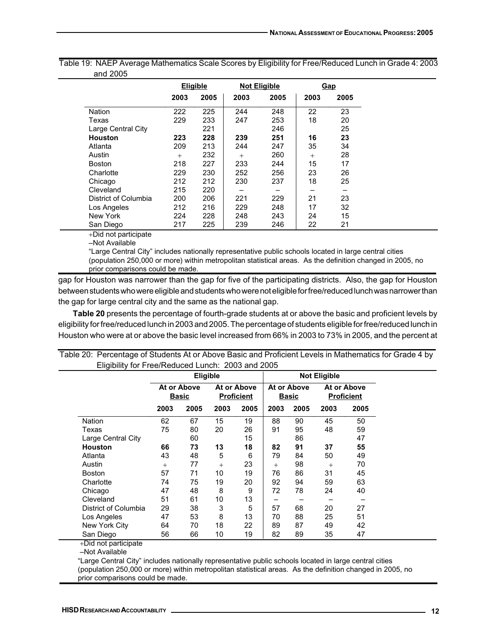|                      |        | <b>Eligible</b> |        | <b>Not Eligible</b> |      | Gap  |
|----------------------|--------|-----------------|--------|---------------------|------|------|
|                      | 2003   | 2005            | 2003   | 2005                | 2003 | 2005 |
| Nation               | 222    | 225             | 244    | 248                 | 22   | 23   |
| Texas                | 229    | 233             | 247    | 253                 | 18   | 20   |
| Large Central City   |        | 221             |        | 246                 |      | 25   |
| <b>Houston</b>       | 223    | 228             | 239    | 251                 | 16   | 23   |
| Atlanta              | 209    | 213             | 244    | 247                 | 35   | 34   |
| Austin               | $^{+}$ | 232             | $^{+}$ | 260                 | $+$  | 28   |
| <b>Boston</b>        | 218    | 227             | 233    | 244                 | 15   | 17   |
| Charlotte            | 229    | 230             | 252    | 256                 | 23   | 26   |
| Chicago              | 212    | 212             | 230    | 237                 | 18   | 25   |
| Cleveland            | 215    | 220             |        |                     |      |      |
| District of Columbia | 200    | 206             | 221    | 229                 | 21   | 23   |
| Los Angeles          | 212    | 216             | 229    | 248                 | 17   | 32   |
| New York             | 224    | 228             | 248    | 243                 | 24   | 15   |
| San Diego            | 217    | 225             | 239    | 246                 | 22   | 21   |

Table 19: NAEP Average Mathematics Scale Scores by Eligibility for Free/Reduced Lunch in Grade 4: 2003 and 2005

+Did not participate

–Not Available

"Large Central City" includes nationally representative public schools located in large central cities (population 250,000 or more) within metropolitan statistical areas. As the definition changed in 2005, no prior comparisons could be made.

gap for Houston was narrower than the gap for five of the participating districts. Also, the gap for Houston between students who were eligible and students who were not eligible for free/reduced lunch was narrower than the gap for large central city and the same as the national gap.

**Table 20** presents the percentage of fourth-grade students at or above the basic and proficient levels by eligibility for free/reduced lunch in 2003 and 2005. The percentage of students eligible for free/reduced lunch in Houston who were at or above the basic level increased from 66% in 2003 to 73% in 2005, and the percent at

|                      |                             | <b>Eligible</b> |      |                                  |        |                             | <b>Not Eligible</b> |                                  |
|----------------------|-----------------------------|-----------------|------|----------------------------------|--------|-----------------------------|---------------------|----------------------------------|
|                      | At or Above<br><b>Basic</b> |                 |      | At or Above<br><b>Proficient</b> |        | At or Above<br><b>Basic</b> |                     | At or Above<br><b>Proficient</b> |
|                      | 2003                        | 2005            | 2003 | 2005                             | 2003   | 2005                        | 2003                | 2005                             |
| <b>Nation</b>        | 62                          | 67              | 15   | 19                               | 88     | 90                          | 45                  | 50                               |
| Texas                | 75                          | 80              | 20   | 26                               | 91     | 95                          | 48                  | 59                               |
| Large Central City   |                             | 60              |      | 15                               |        | 86                          |                     | 47                               |
| <b>Houston</b>       | 66                          | 73              | 13   | 18                               | 82     | 91                          | 37                  | 55                               |
| Atlanta              | 43                          | 48              | 5    | 6                                | 79     | 84                          | 50                  | 49                               |
| Austin               | $^{+}$                      | 77              | $+$  | 23                               | $^{+}$ | 98                          | $^{+}$              | 70                               |
| <b>Boston</b>        | 57                          | 71              | 10   | 19                               | 76     | 86                          | 31                  | 45                               |
| Charlotte            | 74                          | 75              | 19   | 20                               | 92     | 94                          | 59                  | 63                               |
| Chicago              | 47                          | 48              | 8    | 9                                | 72     | 78                          | 24                  | 40                               |
| Cleveland            | 51                          | 61              | 10   | 13                               |        |                             |                     |                                  |
| District of Columbia | 29                          | 38              | 3    | 5                                | 57     | 68                          | 20                  | 27                               |
| Los Angeles          | 47                          | 53              | 8    | 13                               | 70     | 88                          | 25                  | 51                               |
| New York City        | 64                          | 70              | 18   | 22                               | 89     | 87                          | 49                  | 42                               |
| San Diego            | 56                          | 66              | 10   | 19                               | 82     | 89                          | 35                  | 47                               |

Table 20: Percentage of Students At or Above Basic and Proficient Levels in Mathematics for Grade 4 by

+Did not participate

–Not Available

"Large Central City" includes nationally representative public schools located in large central cities (population 250,000 or more) within metropolitan statistical areas. As the definition changed in 2005, no prior comparisons could be made.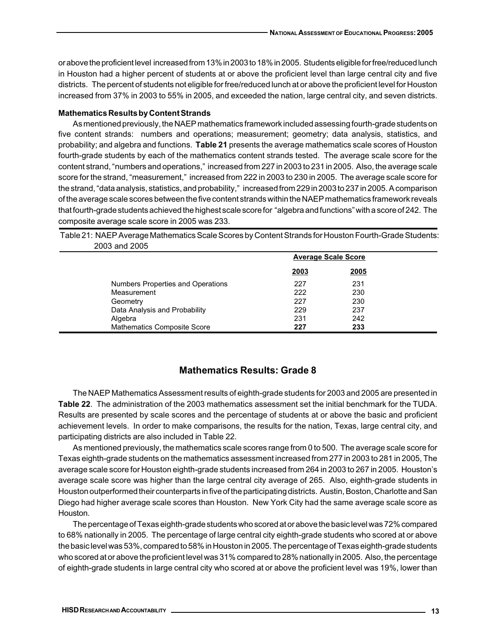or above the proficient level increased from 13% in 2003 to 18% in 2005. Students eligible for free/reduced lunch in Houston had a higher percent of students at or above the proficient level than large central city and five districts. The percent of students not eligible for free/reduced lunch at or above the proficient level for Houston increased from 37% in 2003 to 55% in 2005, and exceeded the nation, large central city, and seven districts.

## **Mathematics Results by Content Strands**

As mentioned previously, the NAEP mathematics framework included assessing fourth-grade students on five content strands: numbers and operations; measurement; geometry; data analysis, statistics, and probability; and algebra and functions. **Table 21** presents the average mathematics scale scores of Houston fourth-grade students by each of the mathematics content strands tested. The average scale score for the content strand, "numbers and operations," increased from 227 in 2003 to 231 in 2005. Also, the average scale score for the strand, "measurement," increased from 222 in 2003 to 230 in 2005. The average scale score for the strand, "data analysis, statistics, and probability," increased from 229 in 2003 to 237 in 2005. A comparison of the average scale scores between the five content strands within the NAEP mathematics framework reveals that fourth-grade students achieved the highest scale score for "algebra and functions" with a score of 242. The composite average scale score in 2005 was 233.

| 2003 and 2005                      |      |                            |  |
|------------------------------------|------|----------------------------|--|
|                                    |      | <b>Average Scale Score</b> |  |
|                                    | 2003 | 2005                       |  |
| Numbers Properties and Operations  | 227  | 231                        |  |
| Measurement                        | 222  | 230                        |  |
| Geometry                           | 227  | 230                        |  |
| Data Analysis and Probability      | 229  | 237                        |  |
| Algebra                            | 231  | 242                        |  |
| <b>Mathematics Composite Score</b> | 227  | 233                        |  |

Table 21: NAEP Average Mathematics Scale Scores by Content Strands for Houston Fourth-Grade Students:

## **Mathematics Results: Grade 8**

The NAEP Mathematics Assessment results of eighth-grade students for 2003 and 2005 are presented in **Table 22**. The administration of the 2003 mathematics assessment set the initial benchmark for the TUDA. Results are presented by scale scores and the percentage of students at or above the basic and proficient achievement levels. In order to make comparisons, the results for the nation, Texas, large central city, and participating districts are also included in Table 22.

As mentioned previously, the mathematics scale scores range from 0 to 500. The average scale score for Texas eighth-grade students on the mathematics assessment increased from 277 in 2003 to 281 in 2005, The average scale score for Houston eighth-grade students increased from 264 in 2003 to 267 in 2005. Houston's average scale score was higher than the large central city average of 265. Also, eighth-grade students in Houston outperformed their counterparts in five of the participating districts. Austin, Boston, Charlotte and San Diego had higher average scale scores than Houston. New York City had the same average scale score as Houston.

The percentage of Texas eighth-grade students who scored at or above the basic level was 72% compared to 68% nationally in 2005. The percentage of large central city eighth-grade students who scored at or above the basic level was 53%, compared to 58% in Houston in 2005. The percentage of Texas eighth-grade students who scored at or above the proficient level was 31% compared to 28% nationally in 2005. Also, the percentage of eighth-grade students in large central city who scored at or above the proficient level was 19%, lower than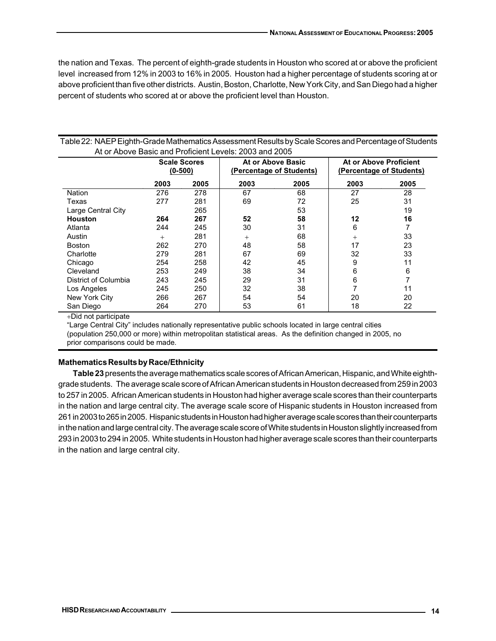the nation and Texas. The percent of eighth-grade students in Houston who scored at or above the proficient level increased from 12% in 2003 to 16% in 2005. Houston had a higher percentage of students scoring at or above proficient than five other districts. Austin, Boston, Charlotte, New York City, and San Diego had a higher percent of students who scored at or above the proficient level than Houston.

## Table 22: NAEP Eighth-Grade Mathematics Assessment Results by Scale Scores and Percentage of Students At or Above Basic and Proficient Levels: 2003 and 2005

|                      | <b>Scale Scores</b><br>$(0-500)$ |      |        | At or Above Basic<br>(Percentage of Students) | At or Above Proficient<br>(Percentage of Students) |      |  |
|----------------------|----------------------------------|------|--------|-----------------------------------------------|----------------------------------------------------|------|--|
|                      | 2003                             | 2005 | 2003   | 2005                                          | 2003                                               | 2005 |  |
| Nation               | 276                              | 278  | 67     | 68                                            | 27                                                 | 28   |  |
| Texas                | 277                              | 281  | 69     | 72                                            | 25                                                 | 31   |  |
| Large Central City   |                                  | 265  |        | 53                                            |                                                    | 19   |  |
| <b>Houston</b>       | 264                              | 267  | 52     | 58                                            | 12                                                 | 16   |  |
| Atlanta              | 244                              | 245  | 30     | 31                                            | 6                                                  | 7    |  |
| Austin               | $^{+}$                           | 281  | $^{+}$ | 68                                            | $^{+}$                                             | 33   |  |
| <b>Boston</b>        | 262                              | 270  | 48     | 58                                            | 17                                                 | 23   |  |
| Charlotte            | 279                              | 281  | 67     | 69                                            | 32                                                 | 33   |  |
| Chicago              | 254                              | 258  | 42     | 45                                            | 9                                                  | 11   |  |
| Cleveland            | 253                              | 249  | 38     | 34                                            | 6                                                  | 6    |  |
| District of Columbia | 243                              | 245  | 29     | 31                                            | 6                                                  | 7    |  |
| Los Angeles          | 245                              | 250  | 32     | 38                                            |                                                    | 11   |  |
| New York City        | 266                              | 267  | 54     | 54                                            | 20                                                 | 20   |  |
| San Diego            | 264                              | 270  | 53     | 61                                            | 18                                                 | 22   |  |

+Did not participate

"Large Central City" includes nationally representative public schools located in large central cities (population 250,000 or more) within metropolitan statistical areas. As the definition changed in 2005, no prior comparisons could be made.

# **Mathematics Results by Race/Ethnicity**

**Table 23** presents the average mathematics scale scores of African American, Hispanic, and White eighthgrade students. The average scale score of African American students in Houston decreased from 259 in 2003 to 257 in 2005. African American students in Houston had higher average scale scores than their counterparts in the nation and large central city. The average scale score of Hispanic students in Houston increased from 261 in 2003 to 265 in 2005. Hispanic students in Houston had higher average scale scores than their counterparts in the nation and large central city. The average scale score of White students in Houston slightly increased from 293 in 2003 to 294 in 2005. White students in Houston had higher average scale scores than their counterparts in the nation and large central city.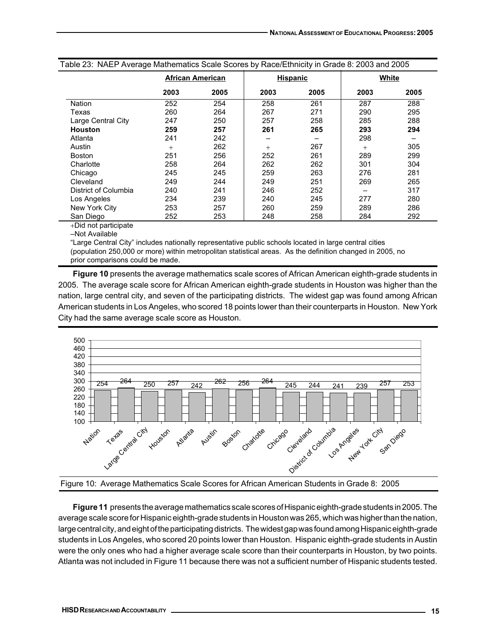| Table 23: NAEP Average Mathematics Scale Scores by Race/Ethnicity in Grade 8: 2003 and 2005 |        |                         |      |                 |        |      |  |  |
|---------------------------------------------------------------------------------------------|--------|-------------------------|------|-----------------|--------|------|--|--|
|                                                                                             |        | <b>African American</b> |      | <b>Hispanic</b> | White  |      |  |  |
|                                                                                             | 2003   | 2005                    | 2003 | 2005            | 2003   | 2005 |  |  |
| Nation                                                                                      | 252    | 254                     | 258  | 261             | 287    | 288  |  |  |
| Texas                                                                                       | 260    | 264                     | 267  | 271             | 290    | 295  |  |  |
| Large Central City                                                                          | 247    | 250                     | 257  | 258             | 285    | 288  |  |  |
| <b>Houston</b>                                                                              | 259    | 257                     | 261  | 265             | 293    | 294  |  |  |
| Atlanta                                                                                     | 241    | 242                     |      |                 | 298    |      |  |  |
| Austin                                                                                      | $^{+}$ | 262                     | $+$  | 267             | $^{+}$ | 305  |  |  |
| <b>Boston</b>                                                                               | 251    | 256                     | 252  | 261             | 289    | 299  |  |  |
| Charlotte                                                                                   | 258    | 264                     | 262  | 262             | 301    | 304  |  |  |
| Chicago                                                                                     | 245    | 245                     | 259  | 263             | 276    | 281  |  |  |
| Cleveland                                                                                   | 249    | 244                     | 249  | 251             | 269    | 265  |  |  |
| District of Columbia                                                                        | 240    | 241                     | 246  | 252             |        | 317  |  |  |
| Los Angeles                                                                                 | 234    | 239                     | 240  | 245             | 277    | 280  |  |  |
| New York City                                                                               | 253    | 257                     | 260  | 259             | 289    | 286  |  |  |
| San Diego                                                                                   | 252    | 253                     | 248  | 258             | 284    | 292  |  |  |
| <b>Third</b> the column and color and a                                                     |        |                         |      |                 |        |      |  |  |

+Did not participate

–Not Available

"Large Central City" includes nationally representative public schools located in large central cities (population 250,000 or more) within metropolitan statistical areas. As the definition changed in 2005, no prior comparisons could be made.

**Figure 10** presents the average mathematics scale scores of African American eighth-grade students in 2005. The average scale score for African American eighth-grade students in Houston was higher than the nation, large central city, and seven of the participating districts. The widest gap was found among African American students in Los Angeles, who scored 18 points lower than their counterparts in Houston. New York City had the same average scale score as Houston.



Figure 10: Average Mathematics Scale Scores for African American Students in Grade 8: 2005

**Figure 11** presents the average mathematics scale scores of Hispanic eighth-grade students in 2005. The average scale score for Hispanic eighth-grade students in Houston was 265, which was higher than the nation, large central city, and eight of the participating districts. The widest gap was found among Hispanic eighth-grade students in Los Angeles, who scored 20 points lower than Houston. Hispanic eighth-grade students in Austin were the only ones who had a higher average scale score than their counterparts in Houston, by two points. Atlanta was not included in Figure 11 because there was not a sufficient number of Hispanic students tested.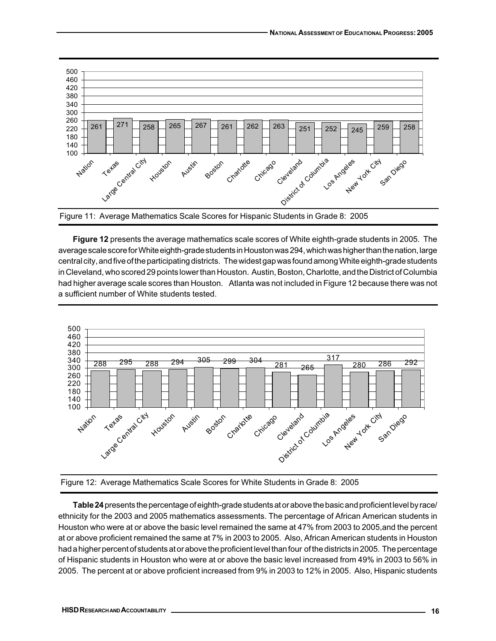

**Figure 12** presents the average mathematics scale scores of White eighth-grade students in 2005. The average scale score for White eighth-grade students in Houston was 294, which was higher than the nation, large central city, and five of the participating districts. The widest gap was found among White eighth-grade students in Cleveland, who scored 29 points lower than Houston. Austin, Boston, Charlotte, and the District of Columbia had higher average scale scores than Houston. Atlanta was not included in Figure 12 because there was not a sufficient number of White students tested.





**Table 24** presents the percentage of eighth-grade students at or above the basic and proficient level by race/ ethnicity for the 2003 and 2005 mathematics assessments. The percentage of African American students in Houston who were at or above the basic level remained the same at 47% from 2003 to 2005,and the percent at or above proficient remained the same at 7% in 2003 to 2005. Also, African American students in Houston had a higher percent of students at or above the proficient level than four of the districts in 2005. The percentage of Hispanic students in Houston who were at or above the basic level increased from 49% in 2003 to 56% in 2005. The percent at or above proficient increased from 9% in 2003 to 12% in 2005. Also, Hispanic students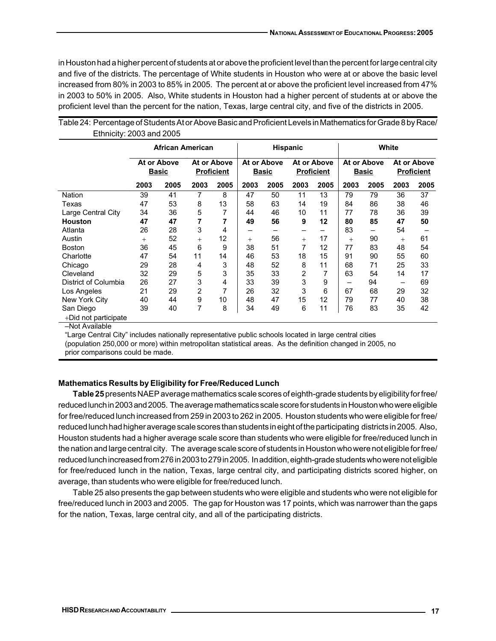in Houston had a higher percent of students at or above the proficient level than the percent for large central city and five of the districts. The percentage of White students in Houston who were at or above the basic level increased from 80% in 2003 to 85% in 2005. The percent at or above the proficient level increased from 47% in 2003 to 50% in 2005. Also, White students in Houston had a higher percent of students at or above the proficient level than the percent for the nation, Texas, large central city, and five of the districts in 2005.

|                      | African American |                             |        | <b>Hispanic</b>                  |        |                             | White |                                  |        |                             |        |                                  |
|----------------------|------------------|-----------------------------|--------|----------------------------------|--------|-----------------------------|-------|----------------------------------|--------|-----------------------------|--------|----------------------------------|
|                      |                  | At or Above<br><b>Basic</b> |        | At or Above<br><b>Proficient</b> |        | At or Above<br><b>Basic</b> |       | At or Above<br><b>Proficient</b> |        | At or Above<br><b>Basic</b> |        | At or Above<br><b>Proficient</b> |
|                      | 2003             | 2005                        | 2003   | 2005                             | 2003   | 2005                        | 2003  | 2005                             | 2003   | 2005                        | 2003   | 2005                             |
| <b>Nation</b>        | 39               | 41                          | 7      | 8                                | 47     | 50                          | 11    | 13                               | 79     | 79                          | 36     | 37                               |
| Texas                | 47               | 53                          | 8      | 13                               | 58     | 63                          | 14    | 19                               | 84     | 86                          | 38     | 46                               |
| Large Central City   | 34               | 36                          | 5      | 7                                | 44     | 46                          | 10    | 11                               | 77     | 78                          | 36     | 39                               |
| Houston              | 47               | 47                          | 7      | 7                                | 49     | 56                          | 9     | 12                               | 80     | 85                          | 47     | 50                               |
| Atlanta              | 26               | 28                          | 3      | 4                                |        |                             | -     |                                  | 83     | -                           | 54     |                                  |
| Austin               | $^{+}$           | 52                          | $^{+}$ | 12                               | $^{+}$ | 56                          | $+$   | 17                               | $^{+}$ | 90                          | $^{+}$ | 61                               |
| <b>Boston</b>        | 36               | 45                          | 6      | 9                                | 38     | 51                          | 7     | 12                               | 77     | 83                          | 48     | 54                               |
| Charlotte            | 47               | 54                          | 11     | 14                               | 46     | 53                          | 18    | 15                               | 91     | 90                          | 55     | 60                               |
| Chicago              | 29               | 28                          | 4      | 3                                | 48     | 52                          | 8     | 11                               | 68     | 71                          | 25     | 33                               |
| Cleveland            | 32               | 29                          | 5      | 3                                | 35     | 33                          | 2     |                                  | 63     | 54                          | 14     | 17                               |
| District of Columbia | 26               | 27                          | 3      | 4                                | 33     | 39                          | 3     | 9                                | -      | 94                          | -      | 69                               |
| Los Angeles          | 21               | 29                          | 2      | 7                                | 26     | 32                          | 3     | 6                                | 67     | 68                          | 29     | 32                               |
| New York City        | 40               | 44                          | 9      | 10                               | 48     | 47                          | 15    | 12                               | 79     | 77                          | 40     | 38                               |
| San Diego            | 39               | 40                          | 7      | 8                                | 34     | 49                          | 6     | 11                               | 76     | 83                          | 35     | 42                               |
| +Did not participate |                  |                             |        |                                  |        |                             |       |                                  |        |                             |        |                                  |

Table 24: Percentage of Students At or Above Basic and Proficient Levels in Mathematics for Grade 8 by Race/ Ethnicity: 2003 and 2005

"Large Central City" includes nationally representative public schools located in large central cities

(population 250,000 or more) within metropolitan statistical areas. As the definition changed in 2005, no

prior comparisons could be made.

#### **Mathematics Results by Eligibility for Free/Reduced Lunch**

**Table 25** presents NAEP average mathematics scale scores of eighth-grade students by eligibility for free/ reduced lunch in 2003 and 2005. The average mathematics scale score for students in Houston who were eligible for free/reduced lunch increased from 259 in 2003 to 262 in 2005. Houston students who were eligible for free/ reduced lunch had higher average scale scores than students in eight of the participating districts in 2005. Also, Houston students had a higher average scale score than students who were eligible for free/reduced lunch in the nation and large central city. The average scale score of students in Houston who were not eligible for free/ reduced lunch increased from 276 in 2003 to 279 in 2005. In addition, eighth-grade students who were not eligible for free/reduced lunch in the nation, Texas, large central city, and participating districts scored higher, on average, than students who were eligible for free/reduced lunch.

Table 25 also presents the gap between students who were eligible and students who were not eligible for free/reduced lunch in 2003 and 2005. The gap for Houston was 17 points, which was narrower than the gaps for the nation, Texas, large central city, and all of the participating districts.

<sup>–</sup>Not Available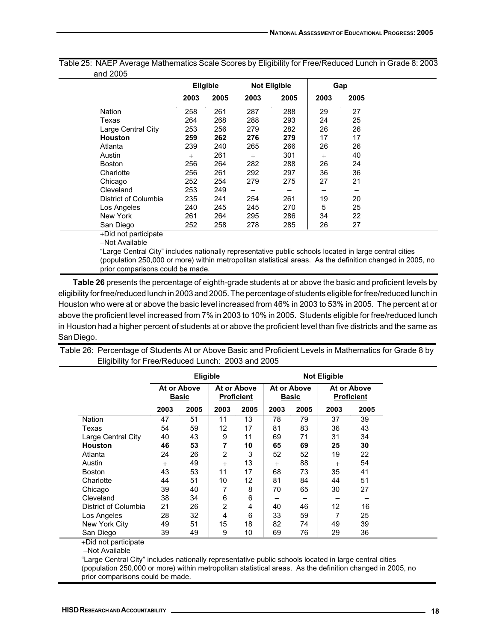|                      |        | <b>Eligible</b> |      | <b>Not Eligible</b> |        | <b>Gap</b> |
|----------------------|--------|-----------------|------|---------------------|--------|------------|
|                      | 2003   | 2005            | 2003 | 2005                | 2003   | 2005       |
| Nation               | 258    | 261             | 287  | 288                 | 29     | 27         |
| Texas                | 264    | 268             | 288  | 293                 | 24     | 25         |
| Large Central City   | 253    | 256             | 279  | 282                 | 26     | 26         |
| <b>Houston</b>       | 259    | 262             | 276  | 279                 | 17     | 17         |
| Atlanta              | 239    | 240             | 265  | 266                 | 26     | 26         |
| Austin               | $^{+}$ | 261             | $+$  | 301                 | $^{+}$ | 40         |
| <b>Boston</b>        | 256    | 264             | 282  | 288                 | 26     | 24         |
| Charlotte            | 256    | 261             | 292  | 297                 | 36     | 36         |
| Chicago              | 252    | 254             | 279  | 275                 | 27     | 21         |
| Cleveland            | 253    | 249             |      |                     |        |            |
| District of Columbia | 235    | 241             | 254  | 261                 | 19     | 20         |
| Los Angeles          | 240    | 245             | 245  | 270                 | 5      | 25         |
| New York             | 261    | 264             | 295  | 286                 | 34     | 22         |
| San Diego            | 252    | 258             | 278  | 285                 | 26     | 27         |
| +Did not participate |        |                 |      |                     |        |            |
| واطوائهنية فوال      |        |                 |      |                     |        |            |

Table 25: NAEP Average Mathematics Scale Scores by Eligibility for Free/Reduced Lunch in Grade 8: 2003 and 2005

–Not Available

"Large Central City" includes nationally representative public schools located in large central cities (population 250,000 or more) within metropolitan statistical areas. As the definition changed in 2005, no prior comparisons could be made.

**Table 26** presents the percentage of eighth-grade students at or above the basic and proficient levels by eligibility for free/reduced lunch in 2003 and 2005. The percentage of students eligible for free/reduced lunch in Houston who were at or above the basic level increased from 46% in 2003 to 53% in 2005. The percent at or above the proficient level increased from 7% in 2003 to 10% in 2005. Students eligible for free/reduced lunch in Houston had a higher percent of students at or above the proficient level than five districts and the same as San Diego.

Table 26: Percentage of Students At or Above Basic and Proficient Levels in Mathematics for Grade 8 by Eligibility for Free/Reduced Lunch: 2003 and 2005

|                      | <b>Eligible</b>             |      |                                  |      | <b>Not Eligible</b>         |      |                                  |      |
|----------------------|-----------------------------|------|----------------------------------|------|-----------------------------|------|----------------------------------|------|
|                      | At or Above<br><b>Basic</b> |      | At or Above<br><b>Proficient</b> |      | At or Above<br><b>Basic</b> |      | At or Above<br><b>Proficient</b> |      |
|                      | 2003                        | 2005 | 2003                             | 2005 | 2003                        | 2005 | 2003                             | 2005 |
| Nation               | 47                          | 51   | 11                               | 13   | 78                          | 79   | 37                               | 39   |
| Texas                | 54                          | 59   | 12                               | 17   | 81                          | 83   | 36                               | 43   |
| Large Central City   | 40                          | 43   | 9                                | 11   | 69                          | 71   | 31                               | 34   |
| <b>Houston</b>       | 46                          | 53   | 7                                | 10   | 65                          | 69   | 25                               | 30   |
| Atlanta              | 24                          | 26   | 2                                | 3    | 52                          | 52   | 19                               | 22   |
| Austin               | $^{+}$                      | 49   | $+$                              | 13   | $^{+}$                      | 88   | $+$                              | 54   |
| <b>Boston</b>        | 43                          | 53   | 11                               | 17   | 68                          | 73   | 35                               | 41   |
| Charlotte            | 44                          | 51   | 10                               | 12   | 81                          | 84   | 44                               | 51   |
| Chicago              | 39                          | 40   |                                  | 8    | 70                          | 65   | 30                               | 27   |
| Cleveland            | 38                          | 34   | 6                                | 6    |                             |      |                                  |      |
| District of Columbia | 21                          | 26   | 2                                | 4    | 40                          | 46   | 12                               | 16   |
| Los Angeles          | 28                          | 32   | 4                                | 6    | 33                          | 59   | 7                                | 25   |
| New York City        | 49                          | 51   | 15                               | 18   | 82                          | 74   | 49                               | 39   |
| San Diego            | 39                          | 49   | 9                                | 10   | 69                          | 76   | 29                               | 36   |

+Did not participate

–Not Available

"Large Central City" includes nationally representative public schools located in large central cities (population 250,000 or more) within metropolitan statistical areas. As the definition changed in 2005, no prior comparisons could be made.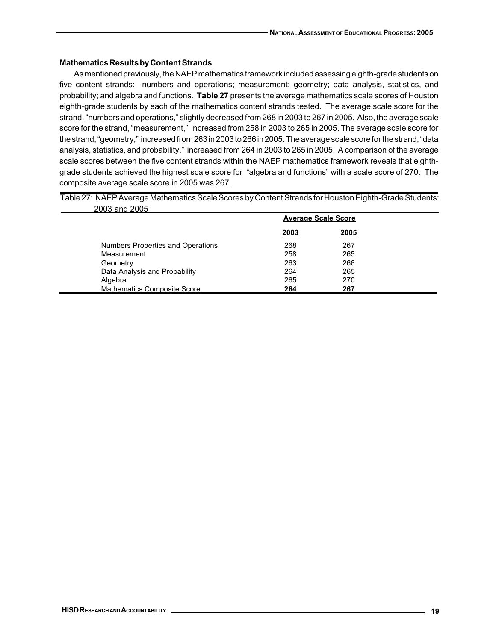## **Mathematics Results by Content Strands**

As mentioned previously, the NAEP mathematics framework included assessing eighth-grade students on five content strands: numbers and operations; measurement; geometry; data analysis, statistics, and probability; and algebra and functions. **Table 27** presents the average mathematics scale scores of Houston eighth-grade students by each of the mathematics content strands tested. The average scale score for the strand, "numbers and operations," slightly decreased from 268 in 2003 to 267 in 2005. Also, the average scale score for the strand, "measurement," increased from 258 in 2003 to 265 in 2005. The average scale score for the strand, "geometry," increased from 263 in 2003 to 266 in 2005. The average scale score for the strand, "data analysis, statistics, and probability," increased from 264 in 2003 to 265 in 2005. A comparison of the average scale scores between the five content strands within the NAEP mathematics framework reveals that eighthgrade students achieved the highest scale score for "algebra and functions" with a scale score of 270. The composite average scale score in 2005 was 267.

Table 27: NAEP Average Mathematics Scale Scores by Content Strands for Houston Eighth-Grade Students: 2003 and 2005

| LUUU UITU LUUU |                                    | <b>Average Scale Score</b> |             |  |
|----------------|------------------------------------|----------------------------|-------------|--|
|                |                                    | <u>2003</u>                | <u>2005</u> |  |
|                | Numbers Properties and Operations  | 268                        | 267         |  |
|                | Measurement                        | 258                        | 265         |  |
|                | Geometry                           | 263                        | 266         |  |
|                | Data Analysis and Probability      | 264                        | 265         |  |
| Algebra        |                                    | 265                        | 270         |  |
|                | <b>Mathematics Composite Score</b> | 264                        | 267         |  |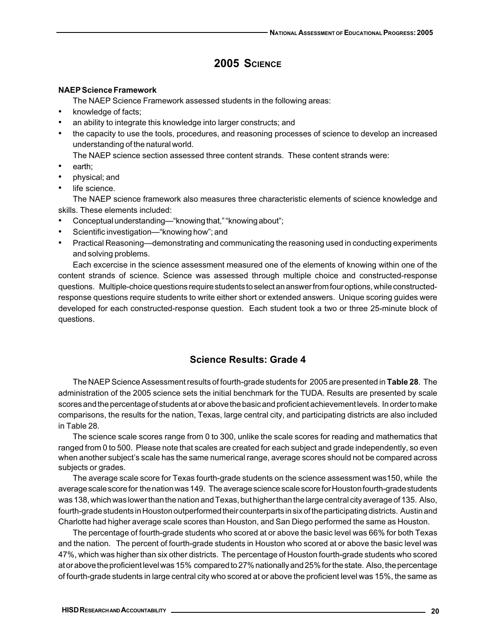## **2005 SCIENCE**

## **NAEP Science Framework**

The NAEP Science Framework assessed students in the following areas:

- knowledge of facts;
- an ability to integrate this knowledge into larger constructs; and
- the capacity to use the tools, procedures, and reasoning processes of science to develop an increased understanding of the natural world.

The NAEP science section assessed three content strands. These content strands were:

- earth:
- physical; and
- life science.

The NAEP science framework also measures three characteristic elements of science knowledge and skills. These elements included:

- Conceptual understanding—"knowing that," "knowing about";
- Scientific investigation—"knowing how"; and
- Practical Reasoning—demonstrating and communicating the reasoning used in conducting experiments and solving problems.

Each excercise in the science assessment measured one of the elements of knowing within one of the content strands of science. Science was assessed through multiple choice and constructed-response questions. Multiple-choice questions require students to select an answer from four options, while constructedresponse questions require students to write either short or extended answers. Unique scoring guides were developed for each constructed-response question. Each student took a two or three 25-minute block of questions.

## **Science Results: Grade 4**

The NAEP Science Assessment results of fourth-grade students for 2005 are presented in **Table 28**. The administration of the 2005 science sets the initial benchmark for the TUDA. Results are presented by scale scores and the percentage of students at or above the basic and proficient achievement levels. In order to make comparisons, the results for the nation, Texas, large central city, and participating districts are also included in Table 28.

The science scale scores range from 0 to 300, unlike the scale scores for reading and mathematics that ranged from 0 to 500. Please note that scales are created for each subject and grade independently, so even when another subject's scale has the same numerical range, average scores should not be compared across subjects or grades.

The average scale score for Texas fourth-grade students on the science assessment was150, while the average scale score for the nation was 149. The average science scale score for Houston fourth-grade students was 138, which was lower than the nation and Texas, but higher than the large central city average of 135. Also, fourth-grade students in Houston outperformed their counterparts in six of the participating districts. Austin and Charlotte had higher average scale scores than Houston, and San Diego performed the same as Houston.

The percentage of fourth-grade students who scored at or above the basic level was 66% for both Texas and the nation. The percent of fourth-grade students in Houston who scored at or above the basic level was 47%, which was higher than six other districts. The percentage of Houston fourth-grade students who scored at or above the proficient level was 15% compared to 27% nationally and 25% for the state. Also, the percentage of fourth-grade students in large central city who scored at or above the proficient level was 15%, the same as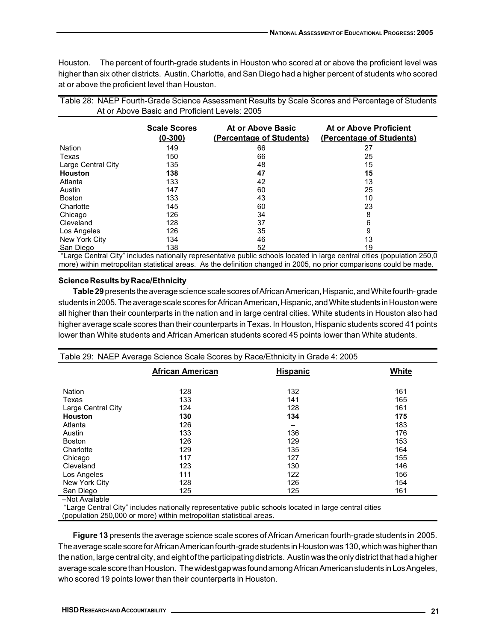Houston. The percent of fourth-grade students in Houston who scored at or above the proficient level was higher than six other districts. Austin, Charlotte, and San Diego had a higher percent of students who scored at or above the proficient level than Houston.

|                    | At or Above Basic and Proficient Levels: 2005 |                                               | Table 28: NAEP Fourth-Grade Science Assessment Results by Scale Scores and Percentage of Students                        |
|--------------------|-----------------------------------------------|-----------------------------------------------|--------------------------------------------------------------------------------------------------------------------------|
|                    | <b>Scale Scores</b><br>$(0 - 300)$            | At or Above Basic<br>(Percentage of Students) | At or Above Proficient<br>(Percentage of Students)                                                                       |
| Nation             | 149                                           | 66                                            | 27                                                                                                                       |
| Texas              | 150                                           | 66                                            | 25                                                                                                                       |
| Large Central City | 135                                           | 48                                            | 15                                                                                                                       |
| <b>Houston</b>     | 138                                           | 47                                            | 15                                                                                                                       |
| Atlanta            | 133                                           | 42                                            | 13                                                                                                                       |
| Austin             | 147                                           | 60                                            | 25                                                                                                                       |
| <b>Boston</b>      | 133                                           | 43                                            | 10                                                                                                                       |
| Charlotte          | 145                                           | 60                                            | 23                                                                                                                       |
| Chicago            | 126                                           | 34                                            | 8                                                                                                                        |
| Cleveland          | 128                                           | 37                                            | 6                                                                                                                        |
| Los Angeles        | 126                                           | 35                                            |                                                                                                                          |
| New York City      | 134                                           | 46                                            | 13                                                                                                                       |
| San Diego          | 138                                           | 52                                            | 19                                                                                                                       |
|                    |                                               |                                               | "Large Cantral City" includes peticually representative public sebeste legated in lerge september dies (penulation OEO O |

 "Large Central City" includes nationally representative public schools located in large central cities (population 250,0 more) within metropolitan statistical areas. As the definition changed in 2005, no prior comparisons could be made.

## **Science Results by Race/Ethnicity**

**Table 29** presents the average science scale scores of African American, Hispanic, and White fourth- grade students in 2005. The average scale scores for African American, Hispanic, and White students in Houston were all higher than their counterparts in the nation and in large central cities. White students in Houston also had higher average scale scores than their counterparts in Texas. In Houston, Hispanic students scored 41 points lower than White students and African American students scored 45 points lower than White students.

| Table 29: NAEP Average Science Scale Scores by Race/Ethnicity in Grade 4: 2005 |                         |                 |       |  |  |  |  |  |
|--------------------------------------------------------------------------------|-------------------------|-----------------|-------|--|--|--|--|--|
|                                                                                | <b>African American</b> | <b>Hispanic</b> | White |  |  |  |  |  |
| Nation                                                                         | 128                     | 132             | 161   |  |  |  |  |  |
| Texas                                                                          | 133                     | 141             | 165   |  |  |  |  |  |
| Large Central City                                                             | 124                     | 128             | 161   |  |  |  |  |  |
| <b>Houston</b>                                                                 | 130                     | 134             | 175   |  |  |  |  |  |
| Atlanta                                                                        | 126                     | -               | 183   |  |  |  |  |  |
| Austin                                                                         | 133                     | 136             | 176   |  |  |  |  |  |
| <b>Boston</b>                                                                  | 126                     | 129             | 153   |  |  |  |  |  |
| Charlotte                                                                      | 129                     | 135             | 164   |  |  |  |  |  |
| Chicago                                                                        | 117                     | 127             | 155   |  |  |  |  |  |
| Cleveland                                                                      | 123                     | 130             | 146   |  |  |  |  |  |
| Los Angeles                                                                    | 111                     | 122             | 156   |  |  |  |  |  |
| New York City                                                                  | 128                     | 126             | 154   |  |  |  |  |  |
| San Diego                                                                      | 125                     | 125             | 161   |  |  |  |  |  |
| Not Avoilable                                                                  |                         |                 |       |  |  |  |  |  |

–Not Available

 "Large Central City" includes nationally representative public schools located in large central cities (population 250,000 or more) within metropolitan statistical areas.

**Figure 13** presents the average science scale scores of African American fourth-grade students in 2005. The average scale score for African American fourth-grade students in Houston was 130, which was higher than the nation, large central city, and eight of the participating districts. Austin was the only district that had a higher average scale score than Houston. The widest gap was found among African American students in Los Angeles, who scored 19 points lower than their counterparts in Houston.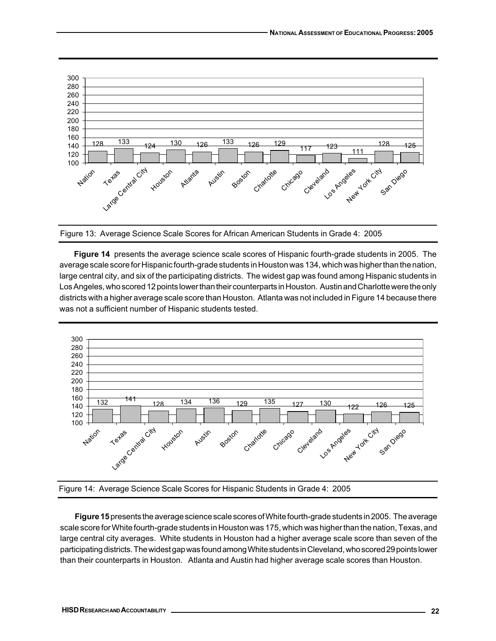

Figure 13: Average Science Scale Scores for African American Students in Grade 4: 2005

**Figure 14** presents the average science scale scores of Hispanic fourth-grade students in 2005. The average scale score for Hispanic fourth-grade students in Houston was 134, which was higher than the nation, large central city, and six of the participating districts. The widest gap was found among Hispanic students in Los Angeles, who scored 12 points lower than their counterparts in Houston. Austin and Charlotte were the only districts with a higher average scale score than Houston. Atlanta was not included in Figure 14 because there was not a sufficient number of Hispanic students tested.





**Figure 15** presents the average science scale scores of White fourth-grade students in 2005. The average scale score for White fourth-grade students in Houston was 175, which was higher than the nation, Texas, and large central city averages. White students in Houston had a higher average scale score than seven of the participating districts. The widest gap was found among White students in Cleveland, who scored 29 points lower than their counterparts in Houston. Atlanta and Austin had higher average scale scores than Houston.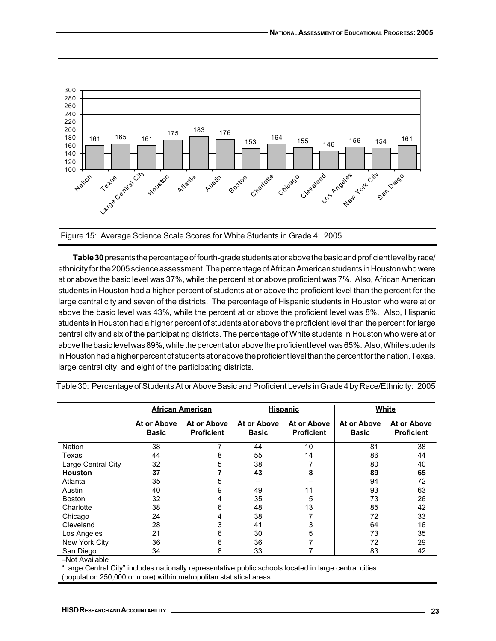

Figure 15: Average Science Scale Scores for White Students in Grade 4: 2005

**Table 30** presents the percentage of fourth-grade students at or above the basic and proficient level by race/ ethnicity for the 2005 science assessment. The percentage of African American students in Houston who were at or above the basic level was 37%, while the percent at or above proficient was 7%. Also, African American students in Houston had a higher percent of students at or above the proficient level than the percent for the large central city and seven of the districts. The percentage of Hispanic students in Houston who were at or above the basic level was 43%, while the percent at or above the proficient level was 8%. Also, Hispanic students in Houston had a higher percent of students at or above the proficient level than the percent for large central city and six of the participating districts. The percentage of White students in Houston who were at or above the basic level was 89%, while the percent at or above the proficient level was 65%. Also, White students in Houston had a higher percent of students at or above the proficient level than the percent for the nation, Texas, large central city, and eight of the participating districts.

|                    | <b>African American</b>     |                                  |                             | <b>Hispanic</b>                  | White                       |                                  |
|--------------------|-----------------------------|----------------------------------|-----------------------------|----------------------------------|-----------------------------|----------------------------------|
|                    | At or Above<br><b>Basic</b> | At or Above<br><b>Proficient</b> | At or Above<br><b>Basic</b> | At or Above<br><b>Proficient</b> | At or Above<br><b>Basic</b> | At or Above<br><b>Proficient</b> |
| <b>Nation</b>      | 38                          | 7                                | 44                          | 10                               | 81                          | 38                               |
| Texas              | 44                          | 8                                | 55                          | 14                               | 86                          | 44                               |
| Large Central City | 32                          | 5                                | 38                          |                                  | 80                          | 40                               |
| <b>Houston</b>     | 37                          | 7                                | 43                          | 8                                | 89                          | 65                               |
| Atlanta            | 35                          | 5                                |                             |                                  | 94                          | 72                               |
| Austin             | 40                          | 9                                | 49                          | 11                               | 93                          | 63                               |
| <b>Boston</b>      | 32                          | 4                                | 35                          | 5                                | 73                          | 26                               |
| Charlotte          | 38                          | 6                                | 48                          | 13                               | 85                          | 42                               |
| Chicago            | 24                          | 4                                | 38                          |                                  | 72                          | 33                               |
| Cleveland          | 28                          | 3                                | 41                          | 3                                | 64                          | 16                               |
| Los Angeles        | 21                          | 6                                | 30                          | 5                                | 73                          | 35                               |
| New York City      | 36                          | 6                                | 36                          | 7                                | 72                          | 29                               |
| San Diego          | 34                          | 8                                | 33                          |                                  | 83                          | 42                               |

Table 30: Percentage of Students At or Above Basic and Proficient Levels in Grade 4 by Race/Ethnicity: 2005

–Not Available

"Large Central City" includes nationally representative public schools located in large central cities (population 250,000 or more) within metropolitan statistical areas.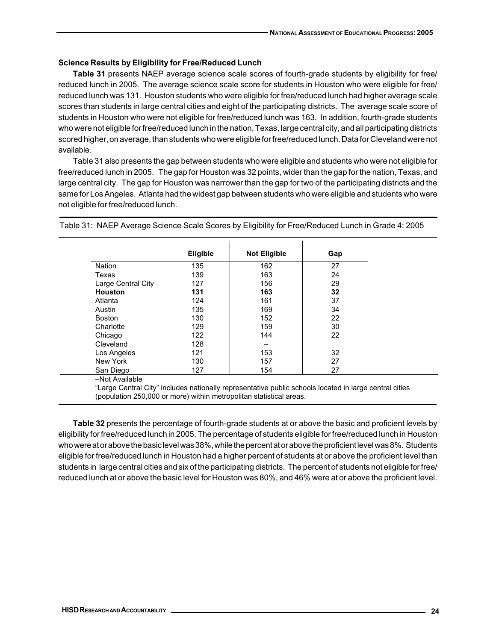## **Science Results by Eligibility for Free/Reduced Lunch**

**Table 31** presents NAEP average science scale scores of fourth-grade students by eligibility for free/ reduced lunch in 2005. The average science scale score for students in Houston who were eligible for free/ reduced lunch was 131. Houston students who were eligible for free/reduced lunch had higher average scale scores than students in large central cities and eight of the participating districts. The average scale score of students in Houston who were not eligible for free/reduced lunch was 163. In addition, fourth-grade students who were not eligible for free/reduced lunch in the nation, Texas, large central city, and all participating districts scored higher, on average, than students who were eligible for free/reduced lunch. Data for Cleveland were not available.

Table 31 also presents the gap between students who were eligible and students who were not eligible for free/reduced lunch in 2005. The gap for Houston was 32 points, wider than the gap for the nation, Texas, and large central city. The gap for Houston was narrower than the gap for two of the participating districts and the same for Los Angeles. Atlanta had the widest gap between students who were eligible and students who were not eligible for free/reduced lunch.

|                    | Eligible | <b>Not Eligible</b> | Gap |
|--------------------|----------|---------------------|-----|
| <b>Nation</b>      | 135      | 162                 | 27  |
| Texas              | 139      | 163                 | 24  |
| Large Central City | 127      | 156                 | 29  |
| <b>Houston</b>     | 131      | 163                 | 32  |
| Atlanta            | 124      | 161                 | 37  |
| Austin             | 135      | 169                 | 34  |
| <b>Boston</b>      | 130      | 152                 | 22  |
| Charlotte          | 129      | 159                 | 30  |
| Chicago            | 122      | 144                 | 22  |
| Cleveland          | 128      |                     |     |
| Los Angeles        | 121      | 153                 | 32  |
| New York           | 130      | 157                 | 27  |
| San Diego          | 127      | 154                 | 27  |

Table 31: NAEP Average Science Scale Scores by Eligibility for Free/Reduced Lunch in Grade 4: 2005

"Large Central City" includes nationally representative public schools located in large central cities (population 250,000 or more) within metropolitan statistical areas.

**Table 32** presents the percentage of fourth-grade students at or above the basic and proficient levels by eligibility for free/reduced lunch in 2005. The percentage of students eligible for free/reduced lunch in Houston who were at or above the basic level was 38%, while the percent at or above the proficient level was 8%. Students eligible for free/reduced lunch in Houston had a higher percent of students at or above the proficient level than students in large central cities and six of the participating districts. The percent of students not eligible for free/ reduced lunch at or above the basic level for Houston was 80%, and 46% were at or above the proficient level.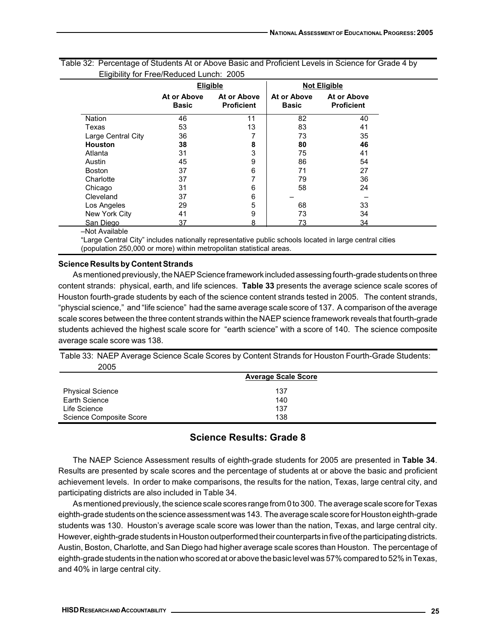|                    | <b>Eligible</b>             |                                  |                             | <b>Not Eligible</b>              |
|--------------------|-----------------------------|----------------------------------|-----------------------------|----------------------------------|
|                    | At or Above<br><b>Basic</b> | At or Above<br><b>Proficient</b> | At or Above<br><b>Basic</b> | At or Above<br><b>Proficient</b> |
| <b>Nation</b>      | 46                          | 11                               | 82                          | 40                               |
| Texas              | 53                          | 13                               | 83                          | 41                               |
| Large Central City | 36                          | 7                                | 73                          | 35                               |
| <b>Houston</b>     | 38                          | 8                                | 80                          | 46                               |
| Atlanta            | 31                          | 3                                | 75                          | 41                               |
| Austin             | 45                          | 9                                | 86                          | 54                               |
| <b>Boston</b>      | 37                          | 6                                | 71                          | 27                               |
| Charlotte          | 37                          | 7                                | 79                          | 36                               |
| Chicago            | 31                          | 6                                | 58                          | 24                               |
| Cleveland          | 37                          | 6                                |                             |                                  |
| Los Angeles        | 29                          | 5                                | 68                          | 33                               |
| New York City      | 41                          | 9                                | 73                          | 34                               |
| San Diego          | 37                          | 8                                | 73                          | 34                               |

|                                          | Table 32: Percentage of Students At or Above Basic and Proficient Levels in Science for Grade 4 by |
|------------------------------------------|----------------------------------------------------------------------------------------------------|
| Eligibility for Free/Reduced Lunch: 2005 |                                                                                                    |

–Not Available

"Large Central City" includes nationally representative public schools located in large central cities (population 250,000 or more) within metropolitan statistical areas.

## **Science Results by Content Strands**

As mentioned previously, the NAEP Science framework included assessing fourth-grade students on three content strands: physical, earth, and life sciences. **Table 33** presents the average science scale scores of Houston fourth-grade students by each of the science content strands tested in 2005. The content strands, "physcial science," and "life science" had the same average scale score of 137. A comparison of the average scale scores between the three content strands within the NAEP science framework reveals that fourth-grade students achieved the highest scale score for "earth science" with a score of 140. The science composite average scale score was 138.

Table 33: NAEP Average Science Scale Scores by Content Strands for Houston Fourth-Grade Students: 2005

|                         | <b>Average Scale Score</b> |  |
|-------------------------|----------------------------|--|
| <b>Physical Science</b> | 137                        |  |
| Earth Science           | 140                        |  |
| Life Science            | 137                        |  |
| Science Composite Score | 138                        |  |

## **Science Results: Grade 8**

The NAEP Science Assessment results of eighth-grade students for 2005 are presented in **Table 34**. Results are presented by scale scores and the percentage of students at or above the basic and proficient achievement levels. In order to make comparisons, the results for the nation, Texas, large central city, and participating districts are also included in Table 34.

As mentioned previously, the science scale scores range from 0 to 300. The average scale score for Texas eighth-grade students on the science assessment was 143. The average scale score for Houston eighth-grade students was 130. Houston's average scale score was lower than the nation, Texas, and large central city. However, eighth-grade students in Houston outperformed their counterparts in five of the participating districts. Austin, Boston, Charlotte, and San Diego had higher average scale scores than Houston. The percentage of eighth-grade students in the nation who scored at or above the basic level was 57% compared to 52% in Texas, and 40% in large central city.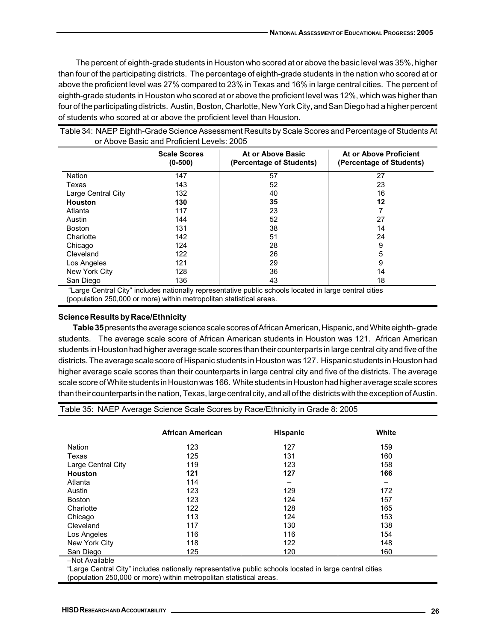The percent of eighth-grade students in Houston who scored at or above the basic level was 35%, higher than four of the participating districts. The percentage of eighth-grade students in the nation who scored at or above the proficient level was 27% compared to 23% in Texas and 16% in large central cities. The percent of eighth-grade students in Houston who scored at or above the proficient level was 12%, which was higher than four of the participating districts. Austin, Boston, Charlotte, New York City, and San Diego had a higher percent of students who scored at or above the proficient level than Houston.

| <b>Scale Scores</b><br>$(0-500)$ |     | At or Above Basic<br>(Percentage of Students) | At or Above Proficient<br>(Percentage of Students) |  |
|----------------------------------|-----|-----------------------------------------------|----------------------------------------------------|--|
| Nation                           | 147 | 57                                            | 27                                                 |  |
| Texas                            | 143 | 52                                            | 23                                                 |  |
| Large Central City               | 132 | 40                                            | 16                                                 |  |
| Houston                          | 130 | 35                                            | 12                                                 |  |
| Atlanta                          | 117 | 23                                            |                                                    |  |
| Austin                           | 144 | 52                                            | 27                                                 |  |
| <b>Boston</b>                    | 131 | 38                                            | 14                                                 |  |
| Charlotte                        | 142 | 51                                            | 24                                                 |  |
| Chicago                          | 124 | 28                                            | 9                                                  |  |
| Cleveland                        | 122 | 26                                            | 5                                                  |  |
| Los Angeles                      | 121 | 29                                            | 9                                                  |  |
| New York City                    | 128 | 36                                            | 14                                                 |  |
| San Diego                        | 136 | 43                                            | 18                                                 |  |

Table 34: NAEP Eighth-Grade Science Assessment Results by Scale Scores and Percentage of Students At or Above Basic and Proficient Levels: 2005

 "Large Central City" includes nationally representative public schools located in large central cities (population 250,000 or more) within metropolitan statistical areas.

#### **Science Results by Race/Ethnicity**

**Table 35** presents the average science scale scores of African American, Hispanic, and White eighth- grade students. The average scale score of African American students in Houston was 121. African American students in Houston had higher average scale scores than their counterparts in large central city and five of the districts. The average scale score of Hispanic students in Houston was 127. Hispanic students in Houston had higher average scale scores than their counterparts in large central city and five of the districts. The average scale score of White students in Houston was 166. White students in Houston had higher average scale scores than their counterparts in the nation, Texas, large central city, and all of the districts with the exception of Austin.

|                    | ັ                       |                 |       |
|--------------------|-------------------------|-----------------|-------|
|                    | <b>African American</b> | <b>Hispanic</b> | White |
| Nation             | 123                     | 127             | 159   |
| Texas              | 125                     | 131             | 160   |
| Large Central City | 119                     | 123             | 158   |
| <b>Houston</b>     | 121                     | 127             | 166   |
| Atlanta            | 114                     |                 |       |
| Austin             | 123                     | 129             | 172   |
| <b>Boston</b>      | 123                     | 124             | 157   |
| Charlotte          | 122                     | 128             | 165   |
| Chicago            | 113                     | 124             | 153   |
| Cleveland          | 117                     | 130             | 138   |
| Los Angeles        | 116                     | 116             | 154   |
| New York City      | 118                     | 122             | 148   |
| San Diego          | 125                     | 120             | 160   |

Table 35: NAEP Average Science Scale Scores by Race/Ethnicity in Grade 8: 2005

–Not Available

"Large Central City" includes nationally representative public schools located in large central cities (population 250,000 or more) within metropolitan statistical areas.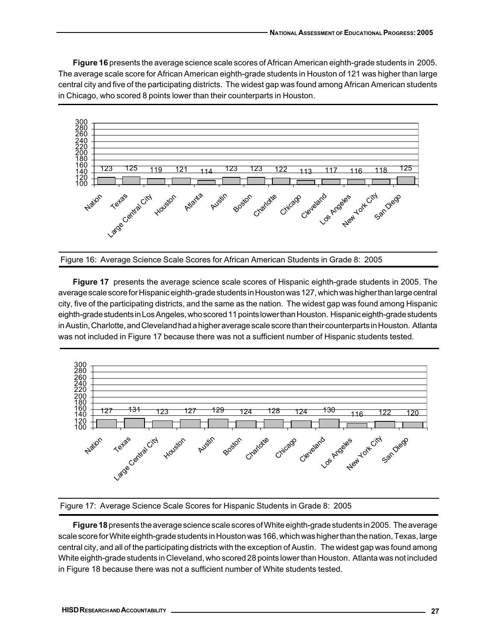**Figure 16** presents the average science scale scores of African American eighth-grade students in 2005. The average scale score for African American eighth-grade students in Houston of 121 was higher than large central city and five of the participating districts. The widest gap was found among African American students in Chicago, who scored 8 points lower than their counterparts in Houston.



Figure 16: Average Science Scale Scores for African American Students in Grade 8: 2005

**Figure 17** presents the average science scale scores of Hispanic eighth-grade students in 2005. The average scale score for Hispanic eighth-grade students in Houston was 127, which was higher than large central city, five of the participating districts, and the same as the nation. The widest gap was found among Hispanic eighth-grade students in Los Angeles, who scored 11 points lower than Houston. Hispanic eighth-grade students in Austin, Charlotte, and Cleveland had a higher average scale score than their counterparts in Houston. Atlanta was not included in Figure 17 because there was not a sufficient number of Hispanic students tested.





**Figure 18** presents the average science scale scores of White eighth-grade students in 2005. The average scale score for White eighth-grade students in Houston was 166, which was higher than the nation, Texas, large central city, and all of the participating districts with the exception of Austin. The widest gap was found among White eighth-grade students in Cleveland, who scored 28 points lower than Houston. Atlanta was not included in Figure 18 because there was not a sufficient number of White students tested.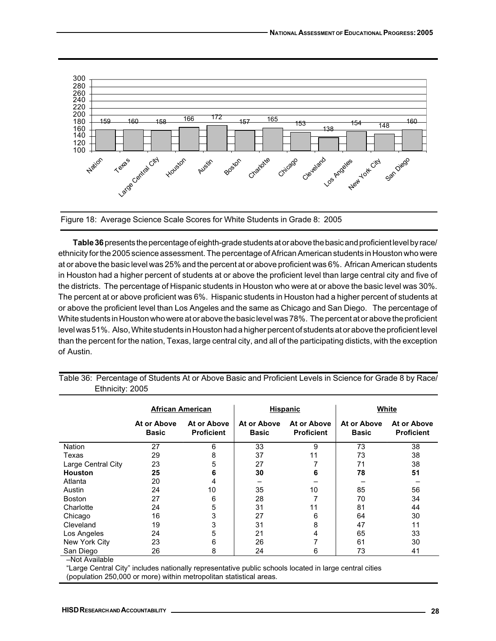

Figure 18: Average Science Scale Scores for White Students in Grade 8: 2005

**Table 36** presents the percentage of eighth-grade students at or above the basic and proficient level by race/ ethnicity for the 2005 science assessment. The percentage of African American students in Houston who were at or above the basic level was 25% and the percent at or above proficient was 6%. African American students in Houston had a higher percent of students at or above the proficient level than large central city and five of the districts. The percentage of Hispanic students in Houston who were at or above the basic level was 30%. The percent at or above proficient was 6%. Hispanic students in Houston had a higher percent of students at or above the proficient level than Los Angeles and the same as Chicago and San Diego. The percentage of White students in Houston who were at or above the basic level was 78%. The percent at or above the proficient level was 51%. Also, White students in Houston had a higher percent of students at or above the proficient level than the percent for the nation, Texas, large central city, and all of the participating disticts, with the exception of Austin.

|                    | <b>African American</b>     |                                  | <b>Hispanic</b>             |                                  | White                       |                                  |
|--------------------|-----------------------------|----------------------------------|-----------------------------|----------------------------------|-----------------------------|----------------------------------|
|                    | At or Above<br><b>Basic</b> | At or Above<br><b>Proficient</b> | At or Above<br><b>Basic</b> | At or Above<br><b>Proficient</b> | At or Above<br><b>Basic</b> | At or Above<br><b>Proficient</b> |
| Nation             | 27                          | 6                                | 33                          | 9                                | 73                          | 38                               |
| Texas              | 29                          | 8                                | 37                          | 11                               | 73                          | 38                               |
| Large Central City | 23                          | 5                                | 27                          |                                  | 71                          | 38                               |
| <b>Houston</b>     | 25                          | 6                                | 30                          | 6                                | 78                          | 51                               |
| Atlanta            | 20                          | 4                                |                             |                                  |                             |                                  |
| Austin             | 24                          | 10                               | 35                          | 10                               | 85                          | 56                               |
| <b>Boston</b>      | 27                          | 6                                | 28                          |                                  | 70                          | 34                               |
| Charlotte          | 24                          | 5                                | 31                          | 11                               | 81                          | 44                               |
| Chicago            | 16                          | 3                                | 27                          | 6                                | 64                          | 30                               |
| Cleveland          | 19                          | 3                                | 31                          | 8                                | 47                          | 11                               |
| Los Angeles        | 24                          | 5                                | 21                          | 4                                | 65                          | 33                               |
| New York City      | 23                          | 6                                | 26                          | 7                                | 61                          | 30                               |
| San Diego          | 26                          | 8                                | 24                          | 6                                | 73                          | 41                               |

Table 36: Percentage of Students At or Above Basic and Proficient Levels in Science for Grade 8 by Race/ Ethnicity: 2005

–Not Available

"Large Central City" includes nationally representative public schools located in large central cities (population 250,000 or more) within metropolitan statistical areas.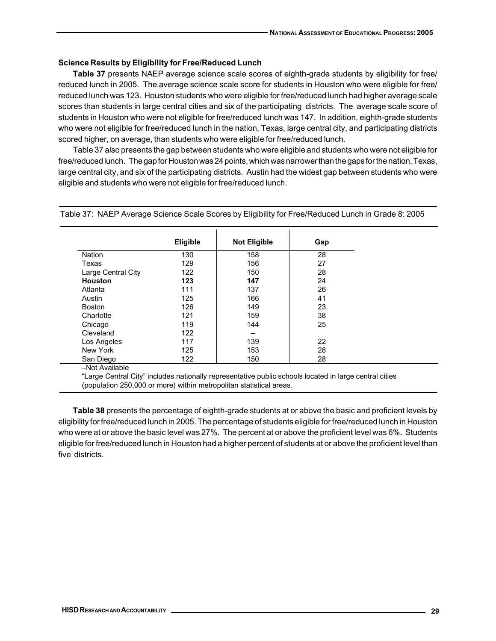## **Science Results by Eligibility for Free/Reduced Lunch**

**Table 37** presents NAEP average science scale scores of eighth-grade students by eligibility for free/ reduced lunch in 2005. The average science scale score for students in Houston who were eligible for free/ reduced lunch was 123. Houston students who were eligible for free/reduced lunch had higher average scale scores than students in large central cities and six of the participating districts. The average scale score of students in Houston who were not eligible for free/reduced lunch was 147. In addition, eighth-grade students who were not eligible for free/reduced lunch in the nation, Texas, large central city, and participating districts scored higher, on average, than students who were eligible for free/reduced lunch.

Table 37 also presents the gap between students who were eligible and students who were not eligible for free/reduced lunch. The gap for Houston was 24 points, which was narrower than the gaps for the nation, Texas, large central city, and six of the participating districts. Austin had the widest gap between students who were eligible and students who were not eligible for free/reduced lunch.

|                    | <b>Eligible</b> | <b>Not Eligible</b> | Gap |
|--------------------|-----------------|---------------------|-----|
| <b>Nation</b>      | 130             | 158                 | 28  |
| Texas              | 129             | 156                 | 27  |
| Large Central City | 122             | 150                 | 28  |
| <b>Houston</b>     | 123             | 147                 | 24  |
| Atlanta            | 111             | 137                 | 26  |
| Austin             | 125             | 166                 | 41  |
| <b>Boston</b>      | 126             | 149                 | 23  |
| Charlotte          | 121             | 159                 | 38  |
| Chicago            | 119             | 144                 | 25  |
| Cleveland          | 122             |                     |     |
| Los Angeles        | 117             | 139                 | 22  |
| New York           | 125             | 153                 | 28  |
| San Diego          | 122             | 150                 | 28  |

Table 37: NAEP Average Science Scale Scores by Eligibility for Free/Reduced Lunch in Grade 8: 2005

"Large Central City" includes nationally representative public schools located in large central cities (population 250,000 or more) within metropolitan statistical areas.

**Table 38** presents the percentage of eighth-grade students at or above the basic and proficient levels by eligibility for free/reduced lunch in 2005. The percentage of students eligible for free/reduced lunch in Houston who were at or above the basic level was 27%. The percent at or above the proficient level was 6%. Students eligible for free/reduced lunch in Houston had a higher percent of students at or above the proficient level than five districts.